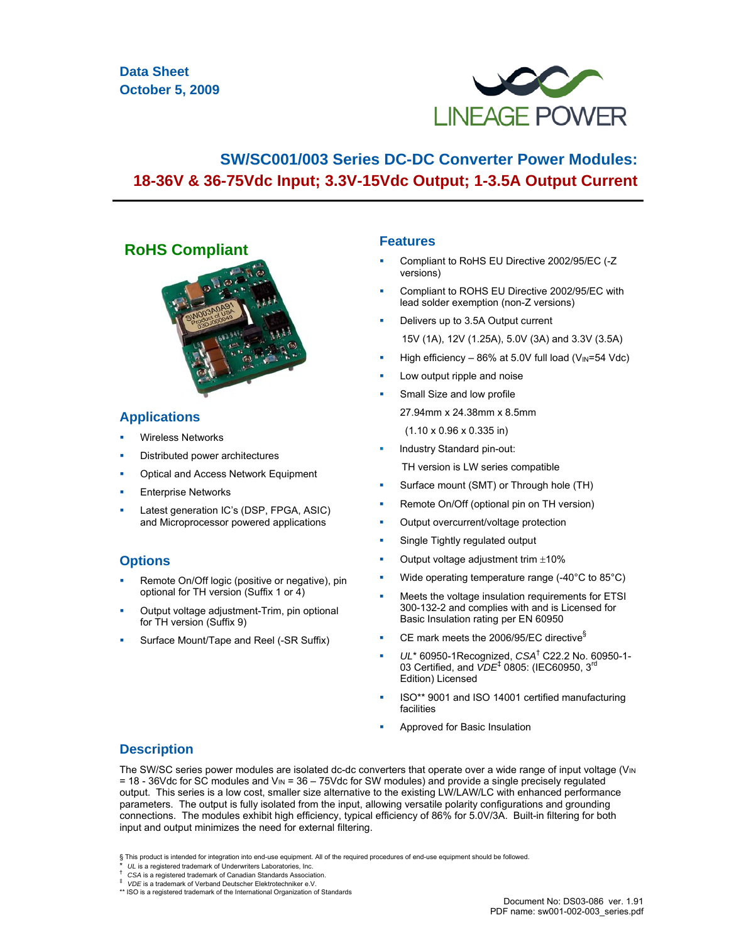

# **SW/SC001/003 Series DC-DC Converter Power Modules: 18-36V & 36-75Vdc Input; 3.3V-15Vdc Output; 1-3.5A Output Current**

# **RoHS Compliant**



## **Applications**

- Wireless Networks
- Distributed power architectures
- Optical and Access Network Equipment
- Enterprise Networks
- Latest generation IC's (DSP, FPGA, ASIC) and Microprocessor powered applications

## **Options**

- Remote On/Off logic (positive or negative), pin optional for TH version (Suffix 1 or 4)
- Output voltage adjustment-Trim, pin optional for TH version (Suffix 9)
- Surface Mount/Tape and Reel (-SR Suffix)

## **Features**

- Compliant to RoHS EU Directive 2002/95/EC (-Z versions)
- Compliant to ROHS EU Directive 2002/95/EC with lead solder exemption (non-Z versions)
- Delivers up to 3.5A Output current 15V (1A), 12V (1.25A), 5.0V (3A) and 3.3V (3.5A)
- High efficiency 86% at 5.0V full load ( $V_{\text{IN}}$ =54 Vdc)
- Low output ripple and noise
- Small Size and low profile 27.94mm x 24.38mm x 8.5mm (1.10 x 0.96 x 0.335 in)
	-
- Industry Standard pin-out:
- TH version is LW series compatible Surface mount (SMT) or Through hole (TH)
- Remote On/Off (optional pin on TH version)
- Output overcurrent/voltage protection
- Single Tightly regulated output
- Output voltage adjustment trim ±10%
- Wide operating temperature range (-40°C to 85°C)
- Meets the voltage insulation requirements for ETSI 300-132-2 and complies with and is Licensed for Basic Insulation rating per EN 60950
- CE mark meets the 2006/95/EC directive§
- *UL*\* 60950-1Recognized, *CSA*† C22.2 No. 60950-1- 03 Certified, and *VDE*‡ 0805: (IEC60950, 3rd Edition) Licensed
- ISO\*\* 9001 and ISO 14001 certified manufacturing facilities
- Approved for Basic Insulation

## **Description**

The SW/SC series power modules are isolated dc-dc converters that operate over a wide range of input voltage (V<sub>IN</sub>) = 18 - 36Vdc for SC modules and VIN = 36 – 75Vdc for SW modules) and provide a single precisely regulated output. This series is a low cost, smaller size alternative to the existing LW/LAW/LC with enhanced performance parameters. The output is fully isolated from the input, allowing versatile polarity configurations and grounding connections. The modules exhibit high efficiency, typical efficiency of 86% for 5.0V/3A. Built-in filtering for both input and output minimizes the need for external filtering.

<sup>§</sup> This product is intended for integration into end-use equipment. All of the required procedures of end-use equipment should be followed.<br>\* UL is a registered trademark of Underwriters Laboratories, Inc.

*CSA* is a registered trademark of Canadian Standards Association.

 $*$  VDE is a trademark of Verband Deutscher Elektrotechniker e.V.<br>\*\* ISO is a registered trademark of the International Organization of Standards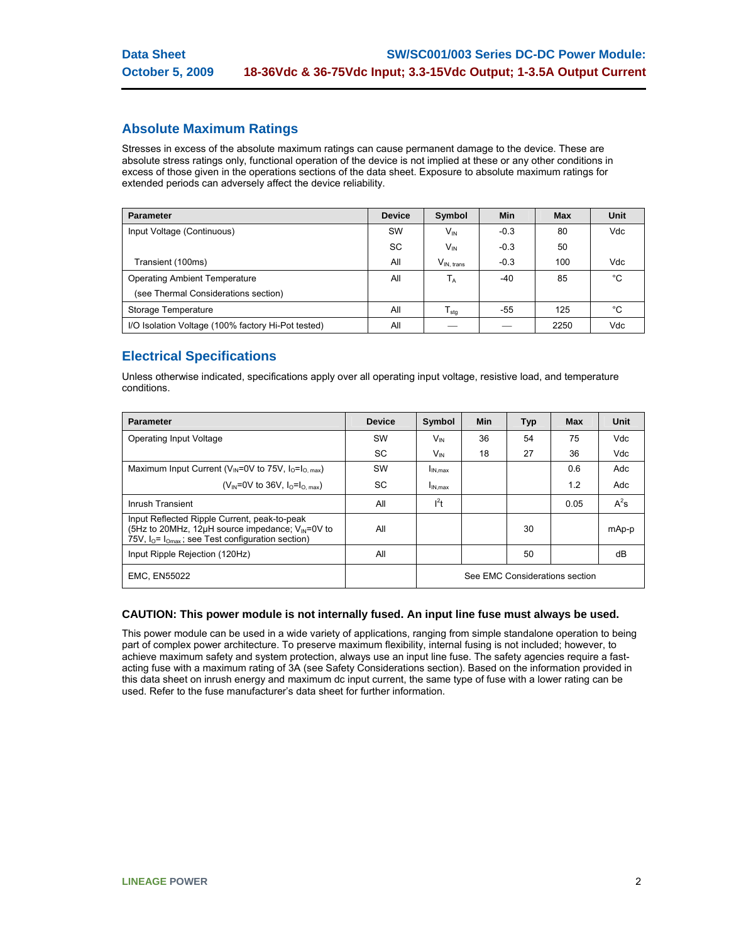## **Absolute Maximum Ratings**

Stresses in excess of the absolute maximum ratings can cause permanent damage to the device. These are absolute stress ratings only, functional operation of the device is not implied at these or any other conditions in excess of those given in the operations sections of the data sheet. Exposure to absolute maximum ratings for extended periods can adversely affect the device reliability.

| <b>Parameter</b>                                   | <b>Device</b> | Symbol          | Min    | <b>Max</b> | Unit        |
|----------------------------------------------------|---------------|-----------------|--------|------------|-------------|
| Input Voltage (Continuous)                         | SW            | $V_{\text{IN}}$ | $-0.3$ | 80         | Vdc         |
|                                                    | SC            | $V_{\text{IN}}$ | $-0.3$ | 50         |             |
| Transient (100ms)                                  | All           | $V_{IN. trans}$ | $-0.3$ | 100        | Vdc         |
| <b>Operating Ambient Temperature</b>               | All           | $T_A$           | -40    | 85         | $^{\circ}C$ |
| (see Thermal Considerations section)               |               |                 |        |            |             |
| Storage Temperature                                | All           | $T_{\rm stg}$   | -55    | 125        | °C          |
| I/O Isolation Voltage (100% factory Hi-Pot tested) | All           |                 |        | 2250       | Vdc         |

# **Electrical Specifications**

Unless otherwise indicated, specifications apply over all operating input voltage, resistive load, and temperature conditions.

| <b>Parameter</b>                                                                                                                                                        | <b>Device</b> | Symbol                         | <b>Min</b> | <b>Typ</b> | <b>Max</b> | <b>Unit</b> |
|-------------------------------------------------------------------------------------------------------------------------------------------------------------------------|---------------|--------------------------------|------------|------------|------------|-------------|
| Operating Input Voltage                                                                                                                                                 | <b>SW</b>     | <b>V<sub>IN</sub></b>          | 36         | 54         | 75         | <b>Vdc</b>  |
|                                                                                                                                                                         | SC.           | $V_{\text{IN}}$                | 18         | 27         | 36         | <b>Vdc</b>  |
| Maximum Input Current ( $V_{\text{IN}}$ =0V to 75V, $I_0 = I_{\text{O. max}}$ )                                                                                         | SW            | $I_{IN,max}$                   |            |            | 0.6        | Adc         |
| ( $V_{IN} = 0V$ to 36V, $I_0 = I_{O, max}$ )                                                                                                                            | <b>SC</b>     | $I_{IN,max}$                   |            |            | 1.2        | Adc         |
| Inrush Transient                                                                                                                                                        | All           | l <sup>2</sup> t               |            |            | 0.05       | $A^2s$      |
| Input Reflected Ripple Current, peak-to-peak<br>(5Hz to 20MHz, 12 $\mu$ H source impedance; $V_{\mu}$ =0V to<br>75V, $I_0 = I_{Omax}$ ; see Test configuration section) | All           |                                |            | 30         |            | mAp-p       |
| Input Ripple Rejection (120Hz)                                                                                                                                          | All           |                                |            | 50         |            | dB          |
| <b>EMC. EN55022</b>                                                                                                                                                     |               | See EMC Considerations section |            |            |            |             |

## **CAUTION: This power module is not internally fused. An input line fuse must always be used.**

This power module can be used in a wide variety of applications, ranging from simple standalone operation to being part of complex power architecture. To preserve maximum flexibility, internal fusing is not included; however, to achieve maximum safety and system protection, always use an input line fuse. The safety agencies require a fastacting fuse with a maximum rating of 3A (see Safety Considerations section). Based on the information provided in this data sheet on inrush energy and maximum dc input current, the same type of fuse with a lower rating can be used. Refer to the fuse manufacturer's data sheet for further information.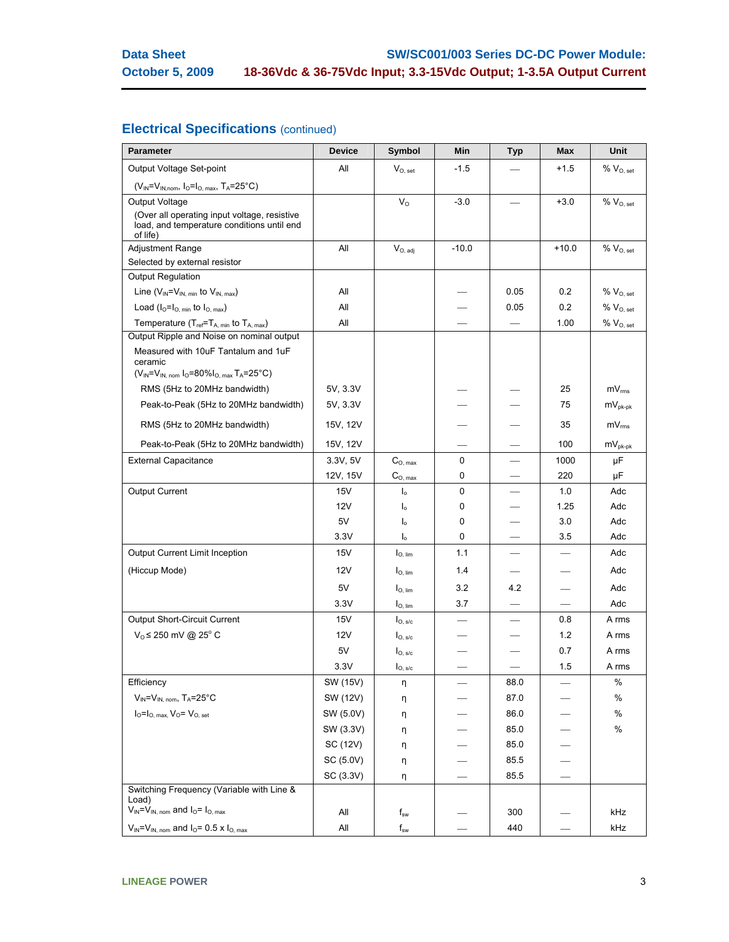# **Electrical Specifications** (continued)

| <b>Parameter</b>                                                                                                                    | <b>Device</b> | Symbol               | Min      | <b>Typ</b> | <b>Max</b> | Unit                         |
|-------------------------------------------------------------------------------------------------------------------------------------|---------------|----------------------|----------|------------|------------|------------------------------|
| Output Voltage Set-point                                                                                                            | All           | $V_{O.}$ set         | $-1.5$   |            | $+1.5$     | $\%$ $V_{O, set}$            |
| $(V_{IN} = V_{IN,nom}, I_{O} = I_{O, max}, T_A = 25^{\circ}C)$                                                                      |               |                      |          |            |            |                              |
| <b>Output Voltage</b>                                                                                                               |               | $V_{\Omega}$         | $-3.0$   |            | $+3.0$     | $% V_{O, set}$               |
| (Over all operating input voltage, resistive<br>load, and temperature conditions until end<br>of life)                              |               |                      |          |            |            |                              |
| <b>Adjustment Range</b>                                                                                                             | All           | $V_{O, \text{ adj}}$ | $-10.0$  |            | $+10.0$    | $%$ $V_{O.}$ set             |
| Selected by external resistor                                                                                                       |               |                      |          |            |            |                              |
| <b>Output Regulation</b>                                                                                                            |               |                      |          |            |            |                              |
| Line $(V_{IN} = V_{IN, min}$ to $V_{IN, max}$ )                                                                                     | All           |                      |          | 0.05       | 0.2        | $% V_{O, set}$               |
| Load $(I_0 = I_0$ min to $I_0$ max)                                                                                                 | All           |                      |          | 0.05       | 0.2        | %V <sub>0. set</sub>         |
| Temperature (T <sub>ref</sub> =T <sub>A, min</sub> to T <sub>A, max</sub> )                                                         | All           |                      |          |            | 1.00       | $\%$ $V_{O, set}$            |
| Output Ripple and Noise on nominal output                                                                                           |               |                      |          |            |            |                              |
| Measured with 10uF Tantalum and 1uF<br>ceramic<br>$(V_{IN} = V_{IN.~\text{nom}} I_{O} = 80\% I_{O.~\text{max}} T_{A} = 25\degree C$ |               |                      |          |            |            |                              |
| RMS (5Hz to 20MHz bandwidth)                                                                                                        | 5V, 3.3V      |                      |          |            | 25         | $\textsf{mV}_{\textsf{rms}}$ |
| Peak-to-Peak (5Hz to 20MHz bandwidth)                                                                                               | 5V, 3.3V      |                      |          |            | 75         | $mV_{nk-nk}$                 |
| RMS (5Hz to 20MHz bandwidth)                                                                                                        | 15V, 12V      |                      |          |            | 35         | mV <sub>rms</sub>            |
| Peak-to-Peak (5Hz to 20MHz bandwidth)                                                                                               | 15V, 12V      |                      |          |            | 100        | $mV_{pk-pk}$                 |
| <b>External Capacitance</b>                                                                                                         | 3.3V, 5V      | $C_{O, max}$         | $\Omega$ |            | 1000       | μF                           |
|                                                                                                                                     | 12V, 15V      | $C_{\rm O,\,max}$    | 0        |            | 220        | μF                           |
| <b>Output Current</b>                                                                                                               | 15V           | $\mathsf{I}_{\circ}$ | 0        |            | 1.0        | Adc                          |
|                                                                                                                                     | 12V           | $\mathsf{I}_{\circ}$ | 0        |            | 1.25       | Adc                          |
|                                                                                                                                     | 5V            | $I_{\circ}$          | 0        |            | 3.0        | Adc                          |
|                                                                                                                                     | 3.3V          | $I_{\circ}$          | 0        |            | 3.5        | Adc                          |
| Output Current Limit Inception                                                                                                      | 15V           | $I_{O, \, lim}$      | 1.1      |            |            | Adc                          |
| (Hiccup Mode)                                                                                                                       | 12V           | $I_{\text{O, lim}}$  | 1.4      |            |            | Adc                          |
|                                                                                                                                     | 5V            | $I_{\text{O, lim}}$  | 3.2      | 4.2        |            | Adc                          |
|                                                                                                                                     | 3.3V          | $I_{O, lim}$         | 3.7      |            |            | Adc                          |
| Output Short-Circuit Current                                                                                                        | 15V           | $I_{O, \, s/c}$      |          |            | 0.8        | A rms                        |
| $V_0 \le 250$ mV @ 25° C                                                                                                            | 12V           | $I_{O, s/c}$         |          |            | 1.2        | A rms                        |
|                                                                                                                                     | 5V            | $I_{\text{O, S/c}}$  |          |            | 0.7        | A rms                        |
|                                                                                                                                     | 3.3V          | $I_{O,~s/c}$         |          |            | 1.5        | A rms                        |
| Efficiency                                                                                                                          | SW (15V)      | η                    |          | 88.0       |            | %                            |
| $V_{IN} = V_{IN. nom}$ , T <sub>A</sub> =25°C                                                                                       | SW (12V)      | η                    |          | 87.0       |            | $\%$                         |
| $I_0 = I_{O, max}$ , $V_0 = V_{O, set}$                                                                                             | SW (5.0V)     | η                    |          | 86.0       |            | $\%$                         |
|                                                                                                                                     | SW (3.3V)     | η                    |          | 85.0       |            | $\%$                         |
|                                                                                                                                     | SC (12V)      | η                    |          | 85.0       |            |                              |
|                                                                                                                                     | SC (5.0V)     | η                    |          | 85.5       |            |                              |
|                                                                                                                                     | SC (3.3V)     | η                    |          | 85.5       |            |                              |
| Switching Frequency (Variable with Line &<br>Load)                                                                                  |               |                      |          |            |            |                              |
| $V_{IN} = V_{IN, nom}$ and $I_0 = I_{O, max}$                                                                                       | All           | $f_{sw}$             |          | 300        |            | kHz                          |
| $V_{IN} = V_{IN.}$ nom and $I_{O} = 0.5$ x $I_{O.}$ max                                                                             | All           | $f_{sw}$             |          | 440        |            | kHz                          |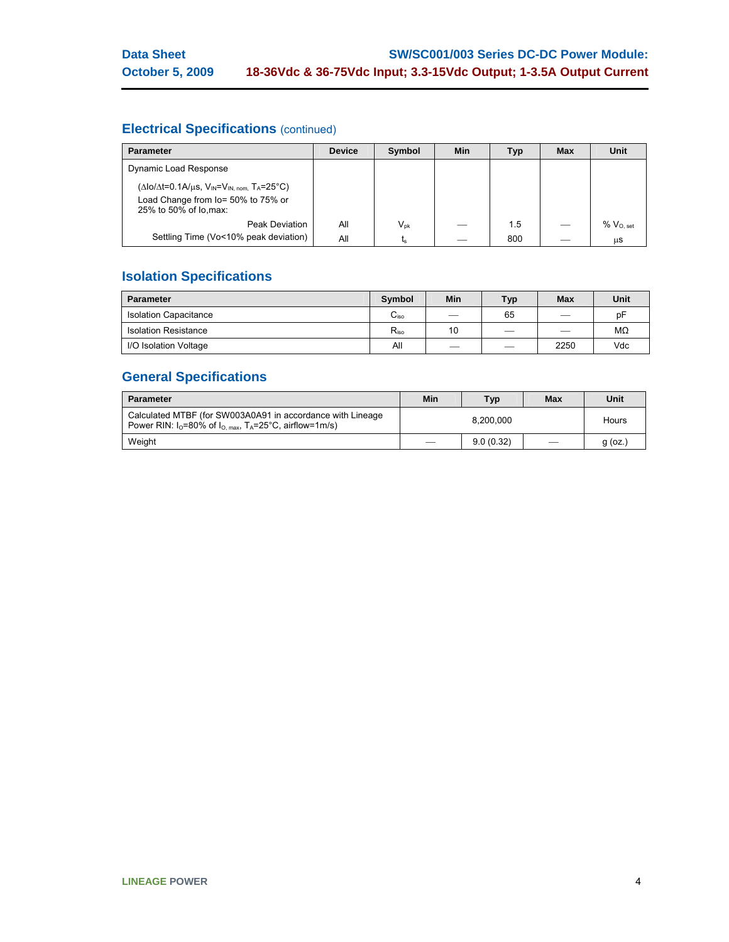# **Electrical Specifications** (continued)

| <b>Parameter</b>                                                              | <b>Device</b> | Symbol                     | <b>Min</b> | <b>Typ</b> | <b>Max</b> | Unit             |
|-------------------------------------------------------------------------------|---------------|----------------------------|------------|------------|------------|------------------|
| Dynamic Load Response                                                         |               |                            |            |            |            |                  |
| $(\Delta I_0/\Delta t = 0.1 A/\mu s, V_{IN} = V_{IN, nom} T_A = 25^{\circ}C)$ |               |                            |            |            |            |                  |
| Load Change from lo= 50% to 75% or<br>25% to 50% of lo, max:                  |               |                            |            |            |            |                  |
| Peak Deviation                                                                | All           | $\mathsf{V}_{\mathsf{pk}}$ |            | 1.5        |            | $%$ $V_{O.}$ set |
| Settling Time (Vo<10% peak deviation)                                         | All           | ւ <sub>s</sub>             |            | 800        |            | μS               |

# **Isolation Specifications**

| <b>Parameter</b>             | Symbol         | Min                      | <b>Typ</b> | <b>Max</b>                    | Unit |
|------------------------------|----------------|--------------------------|------------|-------------------------------|------|
| <b>Isolation Capacitance</b> | $\sim$<br>∪iso |                          | 65         |                               | рF   |
| <b>Isolation Resistance</b>  | $R_{\rm iso}$  | 10                       |            | $\overbrace{\phantom{12332}}$ | ΜΩ   |
| I/O Isolation Voltage        | All            | $\overline{\phantom{a}}$ |            | 2250                          | Vdc  |

# **General Specifications**

| <b>Parameter</b>                                                                                                                         | Min       | <b>Typ</b> | Max | Unit      |
|------------------------------------------------------------------------------------------------------------------------------------------|-----------|------------|-----|-----------|
| Calculated MTBF (for SW003A0A91 in accordance with Lineage<br>Power RIN: $I_0$ =80% of $I_0$ <sub>max</sub> , $T_A$ =25°C, airflow=1m/s) | 8.200.000 |            |     | Hours     |
| Weight                                                                                                                                   |           | 9.0(0.32)  |     | $g$ (oz.) |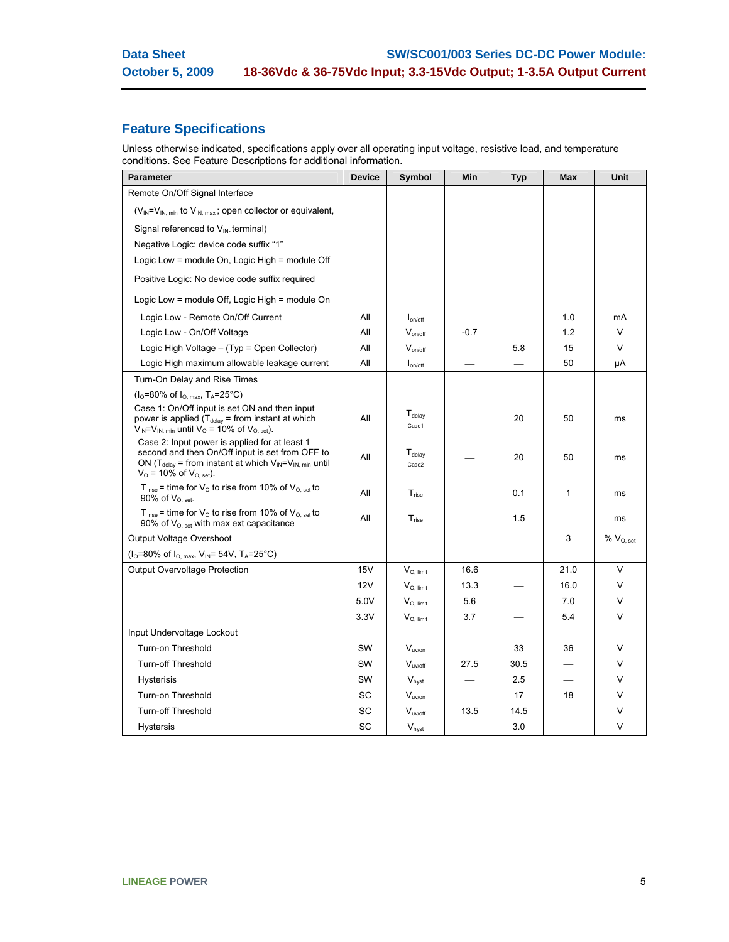# **Feature Specifications**

Unless otherwise indicated, specifications apply over all operating input voltage, resistive load, and temperature conditions. See Feature Descriptions for additional information.

| <b>Parameter</b>                                                                                                                                                                                                    | <b>Device</b> | Symbol                               | Min    | <b>Typ</b> | <b>Max</b> | Unit              |
|---------------------------------------------------------------------------------------------------------------------------------------------------------------------------------------------------------------------|---------------|--------------------------------------|--------|------------|------------|-------------------|
| Remote On/Off Signal Interface                                                                                                                                                                                      |               |                                      |        |            |            |                   |
| $(V_{IN} = V_{IN, min}$ to $V_{IN, max}$ ; open collector or equivalent,                                                                                                                                            |               |                                      |        |            |            |                   |
| Signal referenced to V <sub>IN-</sub> terminal)                                                                                                                                                                     |               |                                      |        |            |            |                   |
| Negative Logic: device code suffix "1"                                                                                                                                                                              |               |                                      |        |            |            |                   |
| Logic Low = module On, Logic High = module Off                                                                                                                                                                      |               |                                      |        |            |            |                   |
| Positive Logic: No device code suffix required                                                                                                                                                                      |               |                                      |        |            |            |                   |
| Logic Low = module Off, Logic High = module On                                                                                                                                                                      |               |                                      |        |            |            |                   |
| Logic Low - Remote On/Off Current                                                                                                                                                                                   | All           | $I_{on/off}$                         |        |            | 1.0        | mA                |
| Logic Low - On/Off Voltage                                                                                                                                                                                          | All           | $V_{on/off}$                         | $-0.7$ |            | 1.2        | V                 |
| Logic High Voltage - (Typ = Open Collector)                                                                                                                                                                         | All           | $V_{on/off}$                         |        | 5.8        | 15         | V                 |
| Logic High maximum allowable leakage current                                                                                                                                                                        | All           | $I_{on/off}$                         |        |            | 50         | μA                |
| Turn-On Delay and Rise Times                                                                                                                                                                                        |               |                                      |        |            |            |                   |
| $(IO=80\%$ of $IO. max$ , T <sub>A</sub> =25°C)                                                                                                                                                                     |               |                                      |        |            |            |                   |
| Case 1: On/Off input is set ON and then input<br>power is applied $(T_{delay} = from instant at which$<br>$V_{IN} = V_{IN, min}$ until $V_{O} = 10\%$ of $V_{O, set}$ ).                                            | All           | $\mathsf{T}_\mathsf{delay}$<br>Case1 |        | 20         | 50         | ms                |
| Case 2: Input power is applied for at least 1<br>second and then On/Off input is set from OFF to<br>ON (T <sub>delay</sub> = from instant at which $V_{IN} = V_{IN, min}$ until<br>$V_{O}$ = 10% of $V_{O, set}$ ). | All           | $T_{\text{delay}}$<br>Case2          |        | 20         | 50         | ms                |
| T <sub>rise</sub> = time for $V_{O}$ to rise from 10% of $V_{O, set}$ to<br>90% of $V_{O. set.}$                                                                                                                    | All           | $T_{\text{rise}}$                    |        | 0.1        | 1          | ms                |
| T <sub>rise</sub> = time for $V_{O}$ to rise from 10% of $V_{O, set}$ to<br>90% of $V_{O. set}$ with max ext capacitance                                                                                            | All           | $T_{rise}$                           |        | 1.5        |            | ms                |
| Output Voltage Overshoot                                                                                                                                                                                            |               |                                      |        |            | 3          | $\%$ $V_{O, set}$ |
| ( $I_0$ =80% of $I_{O, max}$ , $V_{IN}$ = 54V, T <sub>A</sub> =25°C)                                                                                                                                                |               |                                      |        |            |            |                   |
| Output Overvoltage Protection                                                                                                                                                                                       | <b>15V</b>    | $V_{O.$ limit                        | 16.6   |            | 21.0       | V                 |
|                                                                                                                                                                                                                     | <b>12V</b>    | $V_{O.$ limit                        | 13.3   |            | 16.0       | V                 |
|                                                                                                                                                                                                                     | 5.0V          | $V_{O, limit}$                       | 5.6    |            | 7.0        | V                 |
|                                                                                                                                                                                                                     | 3.3V          | $V_{O, limit}$                       | 3.7    |            | 5.4        | V                 |
| Input Undervoltage Lockout                                                                                                                                                                                          |               |                                      |        |            |            |                   |
| Turn-on Threshold                                                                                                                                                                                                   | SW            | $V_{uvlon}$                          |        | 33         | 36         | ٧                 |
| <b>Turn-off Threshold</b>                                                                                                                                                                                           | SW            | $V_{uv/off}$                         | 27.5   | 30.5       |            | ٧                 |
| Hysterisis                                                                                                                                                                                                          | SW            | V <sub>hyst</sub>                    |        | 2.5        |            | ٧                 |
| Turn-on Threshold                                                                                                                                                                                                   | SC            | V <sub>uv/on</sub>                   |        | 17         | 18         | V                 |
| <b>Turn-off Threshold</b>                                                                                                                                                                                           | SC            | $V_{\text{uv/off}}$                  | 13.5   | 14.5       |            | V                 |
| Hystersis                                                                                                                                                                                                           | SC            | $V_{\text{hyst}}$                    |        | 3.0        |            | V                 |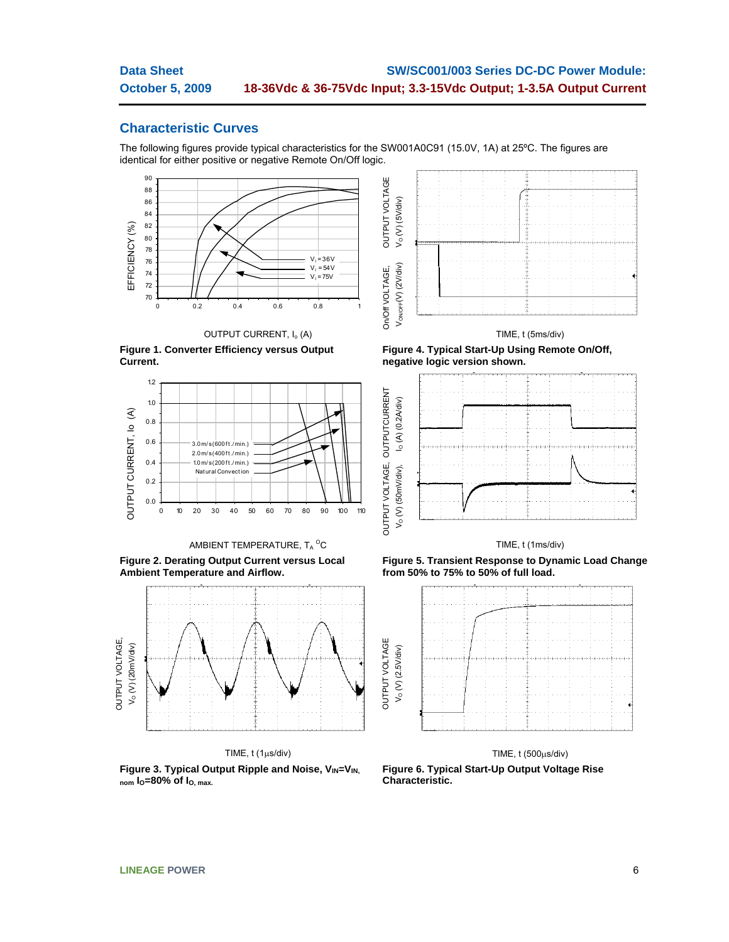OUTPUT VOLTAGE, OUTPUTCURRENT

## **Characteristic Curves**

The following figures provide typical characteristics for the SW001A0C91 (15.0V, 1A) at 25ºC. The figures are identical for either positive or negative Remote On/Off logic.











**Figure 2. Derating Output Current versus Local Ambient Temperature and Airflow.** 



TIME, t (1μs/div)

Figure 3. Typical Output Ripple and Noise, V<sub>IN</sub>=V<sub>IN</sub> **nom IO=80% of IO, max.**



### TIME, t (5ms/div)

**Figure 4. Typical Start-Up Using Remote On/Off, negative logic version shown.** 



TIME, t (1ms/div)

**Figure 5. Transient Response to Dynamic Load Change from 50% to 75% to 50% of full load.** 



### TIME, t (500μs/div)

**Figure 6. Typical Start-Up Output Voltage Rise Characteristic.**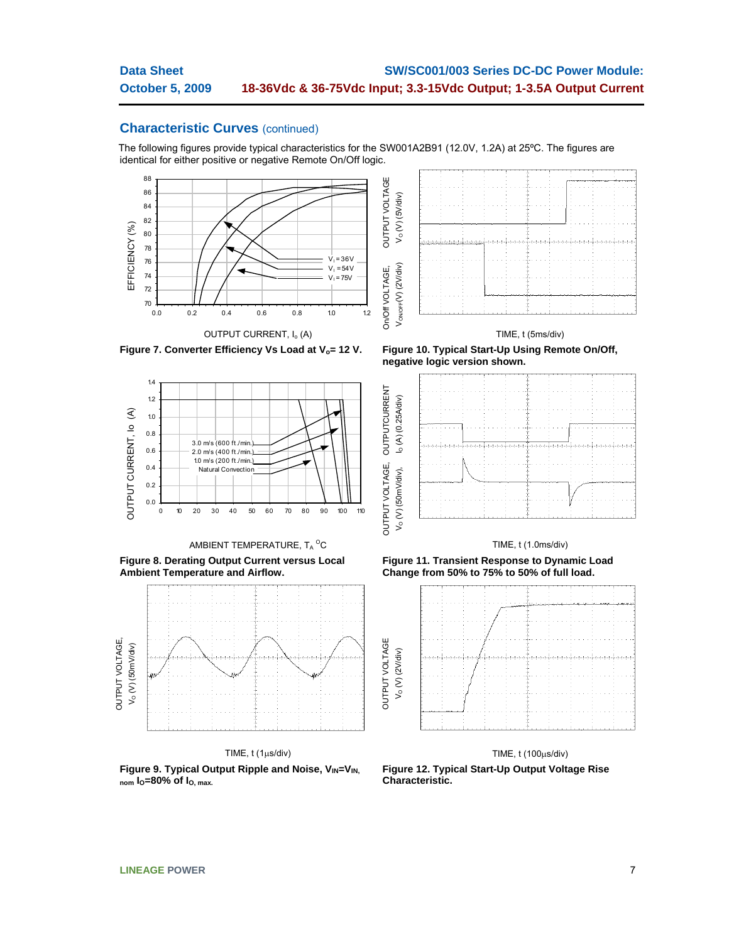The following figures provide typical characteristics for the SW001A2B91 (12.0V, 1.2A) at 25ºC. The figures are identical for either positive or negative Remote On/Off logic.





### TIME, t (5ms/div)







**Figure 8. Derating Output Current versus Local Ambient Temperature and Airflow.** 



TIME, t (1μs/div)

**Figure 9. Typical Output Ripple and Noise,**  $V_{IN}=V_{IN}$ **nom IO=80% of IO, max.**

**negative logic version shown.** 



### TIME, t (1.0ms/div)

**Figure 11. Transient Response to Dynamic Load Change from 50% to 75% to 50% of full load.** 



### TIME, t (100μs/div)

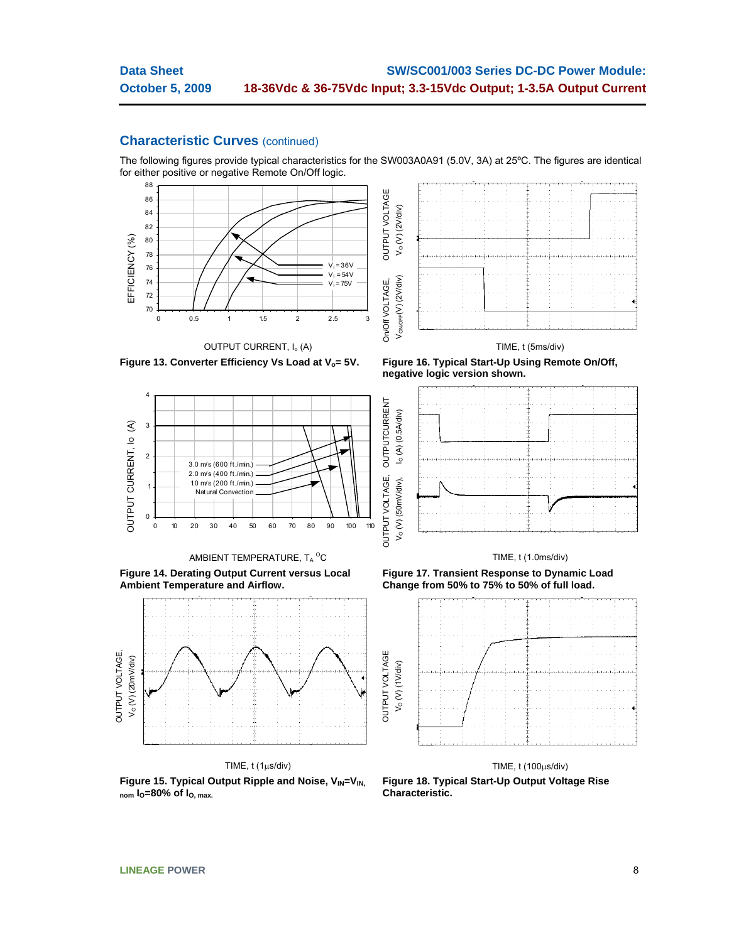The following figures provide typical characteristics for the SW003A0A91 (5.0V, 3A) at 25ºC. The figures are identical for either positive or negative Remote On/Off logic.





Figure 13. Converter Efficiency Vs Load at V<sub>o</sub>= 5V. Figure 16. Typical Start-Up Using Remote On/Off,

OUTPUT CURRENT, I<sub>o</sub> (A)



AMBIENT TEMPERATURE, T $_{\mathrm{A}}$   $^{\mathrm{O}}$ C

**Figure 14. Derating Output Current versus Local Ambient Temperature and Airflow.** 



TIME, t (1μs/div)

Figure 15. Typical Output Ripple and Noise, V<sub>IN</sub>=V<sub>IN.</sub>  $_{\text{nom}}$   $I_{\text{O}}$ =80% of  $I_{\text{O}}$ ,  $_{\text{max}}$ .

**negative logic version shown.** 



### TIME, t (1.0ms/div)

**Figure 17. Transient Response to Dynamic Load Change from 50% to 75% to 50% of full load.** 



TIME, t (100μs/div) **Figure 18. Typical Start-Up Output Voltage Rise Characteristic.**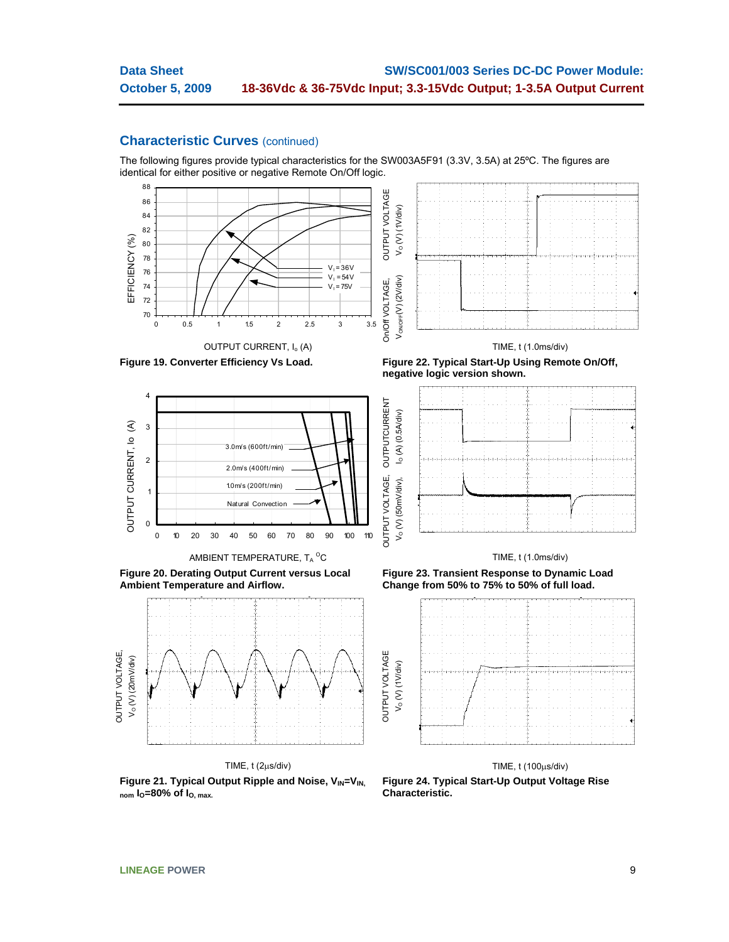The following figures provide typical characteristics for the SW003A5F91 (3.3V, 3.5A) at 25ºC. The figures are identical for either positive or negative Remote On/Off logic.





Figure 19. Converter Efficiency Vs Load. Figure 22. Typical Start-Up Using Remote On/Off,



AMBIENT TEMPERATURE, T $_{\mathrm{A}}$   $^{\mathrm{O}}$ C

**Figure 20. Derating Output Current versus Local Ambient Temperature and Airflow.** 



TIME, t (2μs/div)

Figure 21. Typical Output Ripple and Noise, V<sub>IN</sub>=V<sub>IN.</sub> **nom IO=80% of IO, max.**

TIME, t (1.0ms/div)





### TIME, t (1.0ms/div)

**Figure 23. Transient Response to Dynamic Load Change from 50% to 75% to 50% of full load.** 



# TIME, t (100μs/div)

**Figure 24. Typical Start-Up Output Voltage Rise Characteristic.**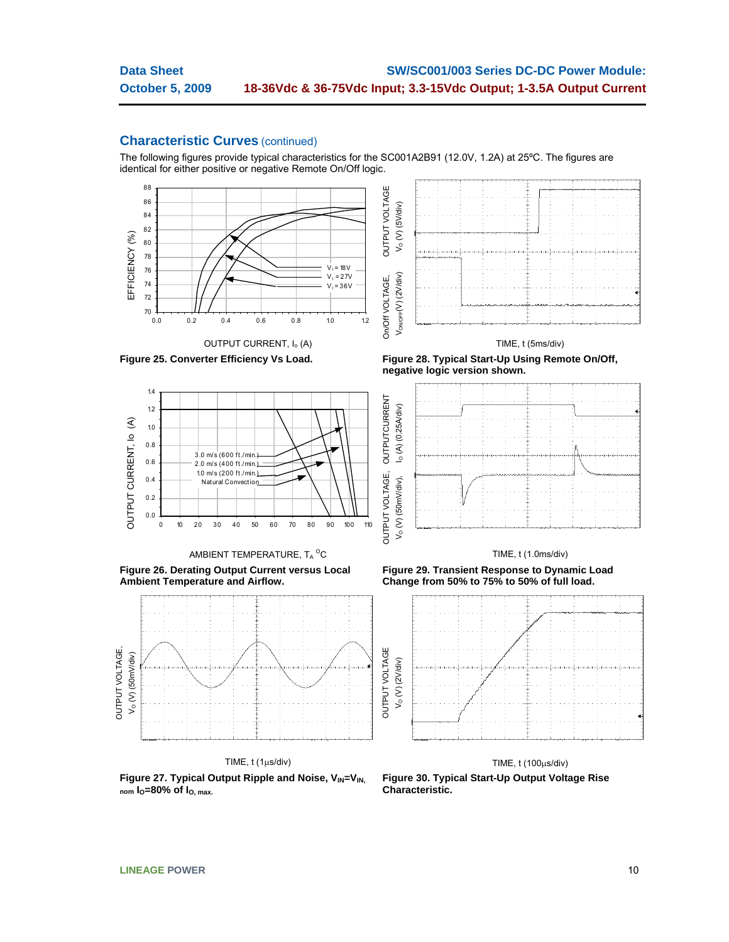The following figures provide typical characteristics for the SC001A2B91 (12.0V, 1.2A) at 25ºC. The figures are identical for either positive or negative Remote On/Off logic.











**Figure 26. Derating Output Current versus Local Ambient Temperature and Airflow.** 

 3.0 m/s (600 ft./min.) 2.0 m/s (400 ft./min.) 1.0 m/s (200 ft./min.) Natural Convection



TIME, t (1μs/div)

TIME, t (1.0ms/div)

**Figure 29. Transient Response to Dynamic Load Change from 50% to 75% to 50% of full load.** 



Figure 27. Typical Output Ripple and Noise, V<sub>IN</sub>=V<sub>IN,</sub> **nom IO=80% of IO, max.**

TIME, t (100μs/div)

**Figure 30. Typical Start-Up Output Voltage Rise Characteristic.** 

0.0 0.2 0.4 0.6 0.8 1.0 1.2 1.4

OUTPUT CURRENT, Io (A)

OUTPUT CURRENT, Io

€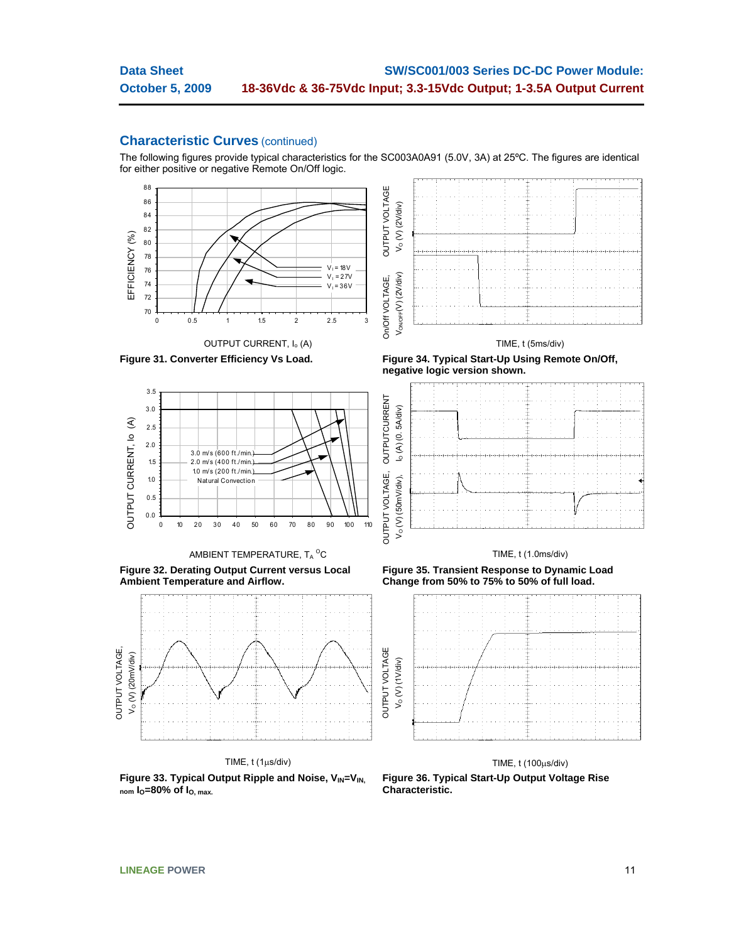The following figures provide typical characteristics for the SC003A0A91 (5.0V, 3A) at 25ºC. The figures are identical for either positive or negative Remote On/Off logic.







AMBIENT TEMPERATURE,  $T_A^{\,\,\mathrm{O}}\text{C}$ 

**Figure 32. Derating Output Current versus Local Ambient Temperature and Airflow.** 



TIME, t (1μs/div)

Figure 33. Typical Output Ripple and Noise, V<sub>IN</sub>=V<sub>IN,</sub> **nom IO=80% of IO, max.**

Figure 31. Converter Efficiency Vs Load. Figure 34. Typical Start-Up Using Remote On/Off, **negative logic version shown.** 



### TIME, t (1.0ms/div)

**Figure 35. Transient Response to Dynamic Load Change from 50% to 75% to 50% of full load.** 



TIME, t (100μs/div)

**Figure 36. Typical Start-Up Output Voltage Rise Characteristic.**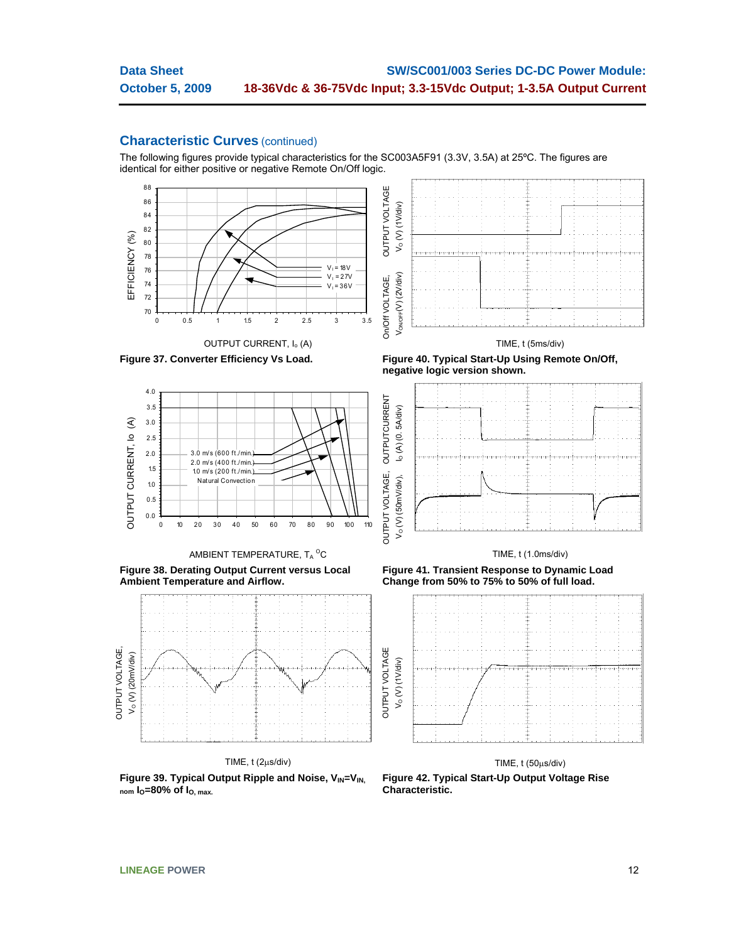The following figures provide typical characteristics for the SC003A5F91 (3.3V, 3.5A) at 25ºC. The figures are identical for either positive or negative Remote On/Off logic.









AMBIENT TEMPERATURE,  $T_A^{\,\,\mathrm{O}}\text{C}$ 

**Figure 38. Derating Output Current versus Local Ambient Temperature and Airflow.** 



TIME, t (2μs/div)

Figure 39. Typical Output Ripple and Noise, V<sub>IN</sub>=V<sub>IN,</sub> **nom IO=80% of IO, max.**

Figure 37. Converter Efficiency Vs Load. Figure 40. Typical Start-Up Using Remote On/Off, **negative logic version shown.** 



### TIME, t (1.0ms/div)

**Figure 41. Transient Response to Dynamic Load Change from 50% to 75% to 50% of full load.** 



TIME, t (50μs/div)

**Figure 42. Typical Start-Up Output Voltage Rise Characteristic.**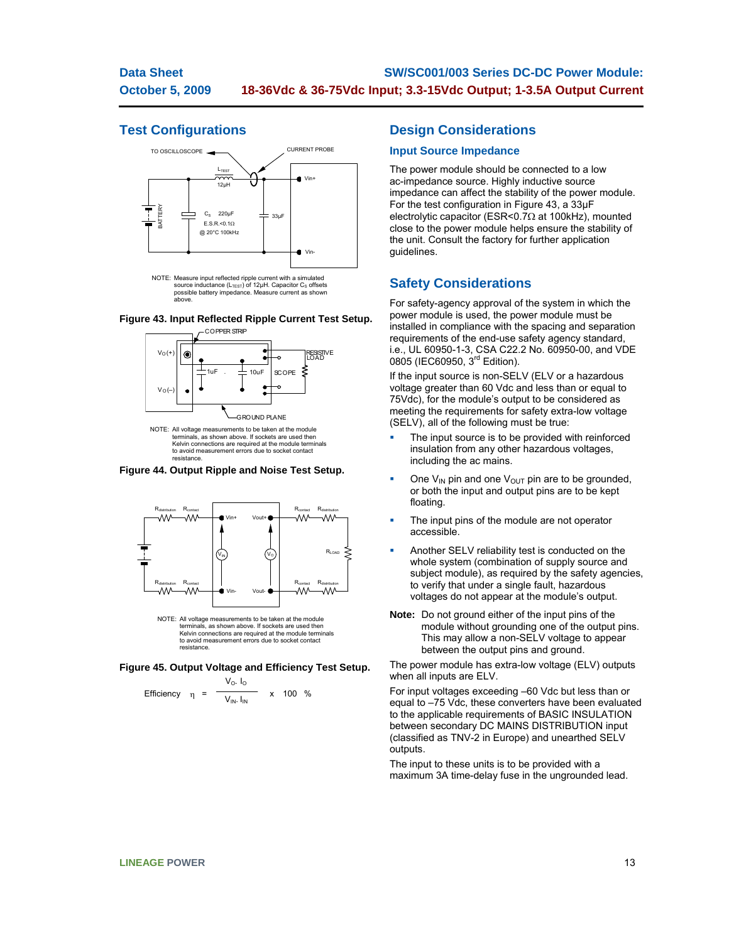## **Test Configurations**



source inductance (L<sub>TEST</sub>) of 12μH. Capacitor C<sub>S</sub> offsets<br>possible battery impedance. Measure current as shown above.

### **Figure 43. Input Reflected Ripple Current Test Setup.**



NOTE: All voltage measurements to be taken at the module terminals, as shown above. If sockets are used then Kelvin connections are required at the module terminals to avoid measurement errors due to socket contact resistance.

**Figure 44. Output Ripple and Noise Test Setup.** 



**Figure 45. Output Voltage and Efficiency Test Setup.**

η = Vo. Io Efficiency  $\eta = \frac{1}{\sqrt{N}} \times 100 \%$ 

## **Design Considerations**

### **Input Source Impedance**

The power module should be connected to a low ac-impedance source. Highly inductive source impedance can affect the stability of the power module. For the test configuration in Figure 43, a 33μF electrolytic capacitor (ESR<0.7Ω at 100kHz), mounted close to the power module helps ensure the stability of the unit. Consult the factory for further application guidelines.

## **Safety Considerations**

For safety-agency approval of the system in which the power module is used, the power module must be installed in compliance with the spacing and separation requirements of the end-use safety agency standard, i.e., UL 60950-1-3, CSA C22.2 No. 60950-00, and VDE 0805 (IEC60950, 3<sup>rd</sup> Edition).

If the input source is non-SELV (ELV or a hazardous voltage greater than 60 Vdc and less than or equal to 75Vdc), for the module's output to be considered as meeting the requirements for safety extra-low voltage (SELV), all of the following must be true:

- The input source is to be provided with reinforced insulation from any other hazardous voltages, including the ac mains.
- One  $V_{IN}$  pin and one  $V_{OUT}$  pin are to be grounded, or both the input and output pins are to be kept floating.
- The input pins of the module are not operator accessible.
- Another SELV reliability test is conducted on the whole system (combination of supply source and subject module), as required by the safety agencies, to verify that under a single fault, hazardous voltages do not appear at the module's output.
- **Note:** Do not ground either of the input pins of the module without grounding one of the output pins. This may allow a non-SELV voltage to appear between the output pins and ground.

The power module has extra-low voltage (ELV) outputs when all inputs are ELV.

For input voltages exceeding –60 Vdc but less than or equal to –75 Vdc, these converters have been evaluated to the applicable requirements of BASIC INSULATION between secondary DC MAINS DISTRIBUTION input (classified as TNV-2 in Europe) and unearthed SELV outputs.

The input to these units is to be provided with a maximum 3A time-delay fuse in the ungrounded lead.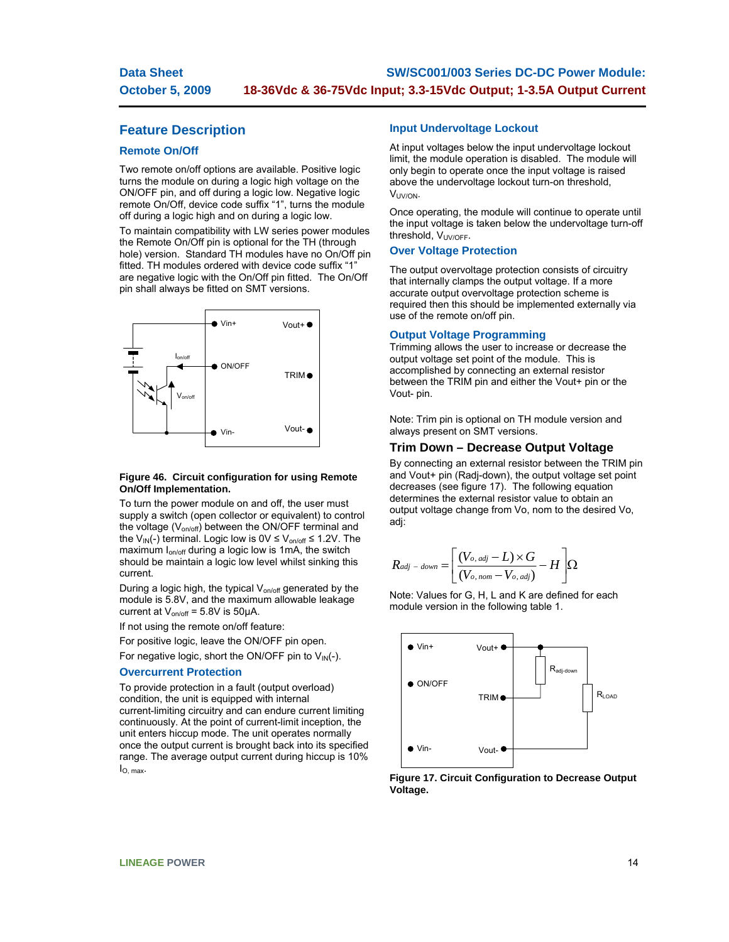## **Feature Description**

### **Remote On/Off**

Two remote on/off options are available. Positive logic turns the module on during a logic high voltage on the ON/OFF pin, and off during a logic low. Negative logic remote On/Off, device code suffix "1", turns the module off during a logic high and on during a logic low.

To maintain compatibility with LW series power modules the Remote On/Off pin is optional for the TH (through hole) version. Standard TH modules have no On/Off pin fitted. TH modules ordered with device code suffix "1" are negative logic with the On/Off pin fitted. The On/Off pin shall always be fitted on SMT versions.



### **Figure 46. Circuit configuration for using Remote On/Off Implementation.**

To turn the power module on and off, the user must supply a switch (open collector or equivalent) to control the voltage ( $V_{on/off}$ ) between the ON/OFF terminal and the V<sub>IN</sub>(-) terminal. Logic low is  $0 \vee \leq V_{\text{on/off}} \leq 1.2 \vee$ . The maximum I<sub>on/off</sub> during a logic low is 1mA, the switch should be maintain a logic low level whilst sinking this current.

During a logic high, the typical V<sub>on/off</sub> generated by the module is 5.8V, and the maximum allowable leakage current at  $V_{on/off} = 5.8V$  is 50 $\mu$ A.

If not using the remote on/off feature:

For positive logic, leave the ON/OFF pin open.

For negative logic, short the ON/OFF pin to  $V_{IN}(-)$ .

### **Overcurrent Protection**

To provide protection in a fault (output overload) condition, the unit is equipped with internal current-limiting circuitry and can endure current limiting continuously. At the point of current-limit inception, the unit enters hiccup mode. The unit operates normally once the output current is brought back into its specified range. The average output current during hiccup is 10% IO, max.

### **Input Undervoltage Lockout**

At input voltages below the input undervoltage lockout limit, the module operation is disabled. The module will only begin to operate once the input voltage is raised above the undervoltage lockout turn-on threshold, VUV/ON.

Once operating, the module will continue to operate until the input voltage is taken below the undervoltage turn-off threshold, V<sub>UV/OFF</sub>.

### **Over Voltage Protection**

The output overvoltage protection consists of circuitry that internally clamps the output voltage. If a more accurate output overvoltage protection scheme is required then this should be implemented externally via use of the remote on/off pin.

### **Output Voltage Programming**

Trimming allows the user to increase or decrease the output voltage set point of the module. This is accomplished by connecting an external resistor between the TRIM pin and either the Vout+ pin or the Vout- pin.

Note: Trim pin is optional on TH module version and always present on SMT versions.

### **Trim Down – Decrease Output Voltage**

By connecting an external resistor between the TRIM pin and Vout+ pin (Radj-down), the output voltage set point decreases (see figure 17). The following equation determines the external resistor value to obtain an output voltage change from Vo, nom to the desired Vo, adj:

$$
R_{adj - down} = \left[ \frac{(V_{o, adj} - L) \times G}{(V_{o, nom} - V_{o, adj})} - H \right] \Omega
$$

Note: Values for G, H, L and K are defined for each module version in the following table 1.



**Figure 17. Circuit Configuration to Decrease Output Voltage.**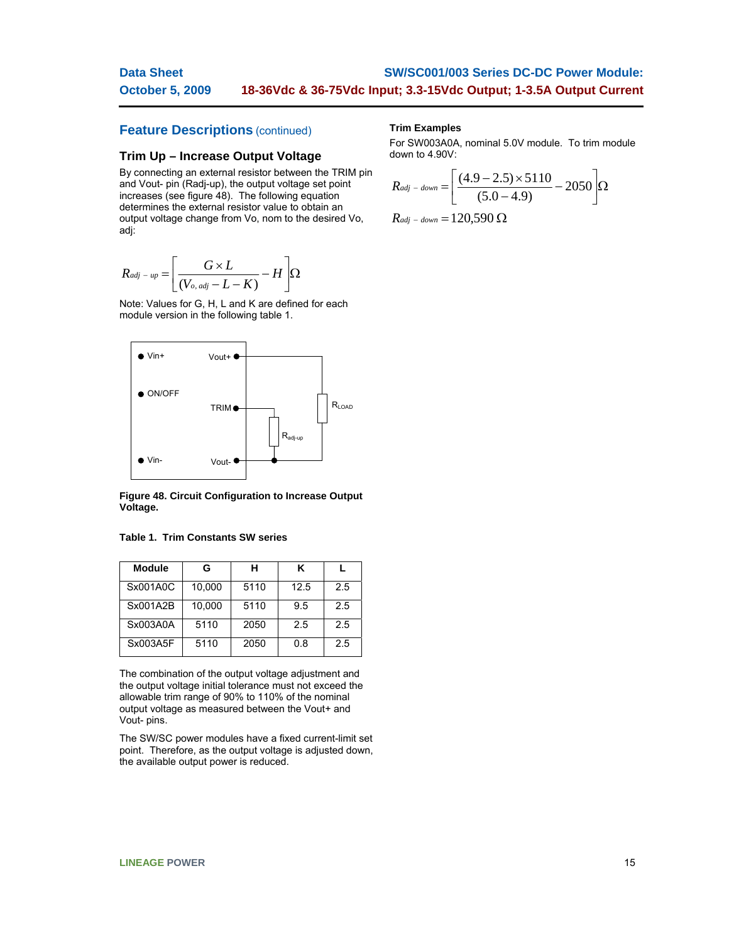#### **Data Sheet October 5, 2009 SW/SC001/003 Series DC-DC Power Module: 18-36Vdc & 36-75Vdc Input; 3.3-15Vdc Output; 1-3.5A Output Current**

## **Feature Descriptions** (continued)

### **Trim Up – Increase Output Voltage**

By connecting an external resistor between the TRIM pin and Vout- pin (Radj-up), the output voltage set point increases (see figure 48). The following equation determines the external resistor value to obtain an output voltage change from Vo, nom to the desired Vo, adj:

$$
R_{adj-up} = \left[ \frac{G \times L}{(V_{o, adj} - L - K)} - H \right] \Omega
$$

Note: Values for G, H, L and K are defined for each module version in the following table 1.



**Figure 48. Circuit Configuration to Increase Output Voltage.** 

|  |  |  | <b>Table 1. Trim Constants SW series</b> |  |  |
|--|--|--|------------------------------------------|--|--|
|--|--|--|------------------------------------------|--|--|

| <b>Module</b> | G      | н    | κ    |     |
|---------------|--------|------|------|-----|
| Sx001A0C      | 10.000 | 5110 | 12.5 | 2.5 |
| Sx001A2B      | 10,000 | 5110 | 9.5  | 2.5 |
| Sx003A0A      | 5110   | 2050 | 2.5  | 2.5 |
| Sx003A5F      | 5110   | 2050 | 0.8  | 2.5 |

The combination of the output voltage adjustment and the output voltage initial tolerance must not exceed the allowable trim range of 90% to 110% of the nominal output voltage as measured between the Vout+ and Vout- pins.

The SW/SC power modules have a fixed current-limit set point. Therefore, as the output voltage is adjusted down, the available output power is reduced.

### **Trim Examples**

For SW003A0A, nominal 5.0V module. To trim module down to 4.90V:

$$
R_{adj - down} = \left[ \frac{(4.9 - 2.5) \times 5110}{(5.0 - 4.9)} - 2050 \right] \Omega
$$
  

$$
R_{adj - down} = 120,590 \Omega
$$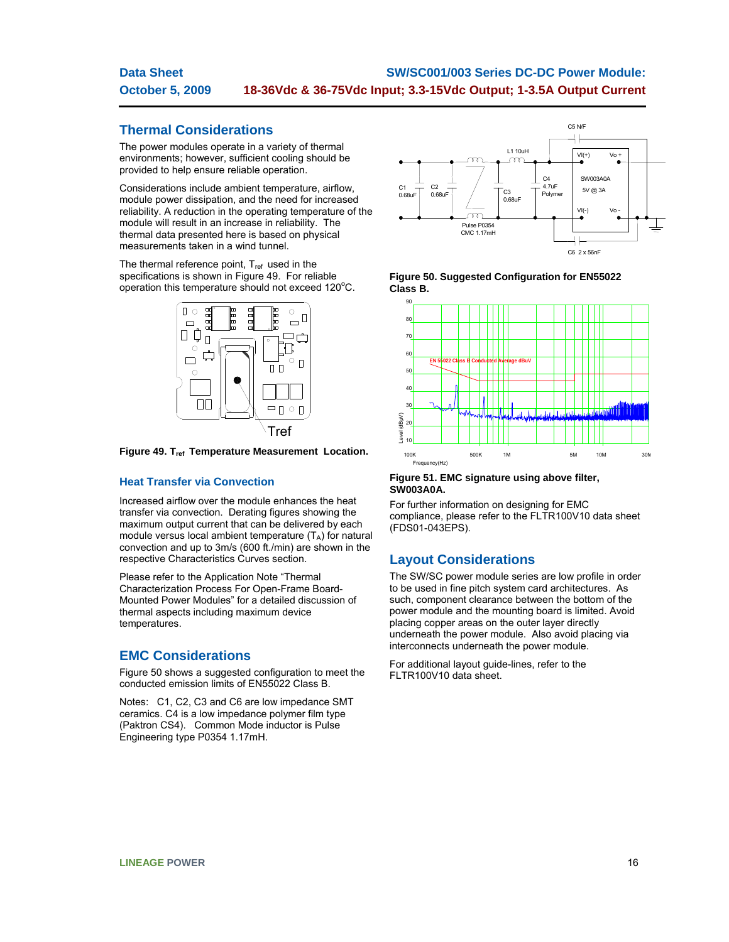#### **Data Sheet October 5, 2009 SW/SC001/003 Series DC-DC Power Module: 18-36Vdc & 36-75Vdc Input; 3.3-15Vdc Output; 1-3.5A Output Current**

## **Thermal Considerations**

The power modules operate in a variety of thermal environments; however, sufficient cooling should be provided to help ensure reliable operation.

Considerations include ambient temperature, airflow, module power dissipation, and the need for increased reliability. A reduction in the operating temperature of the module will result in an increase in reliability. The thermal data presented here is based on physical measurements taken in a wind tunnel.

The thermal reference point, T<sub>ref</sub> used in the specifications is shown in Figure 49. For reliable  $o$  peration this temperature should not exceed 120 $^{\circ}$ C.

![](_page_15_Figure_5.jpeg)

Figure 49. T<sub>ref</sub> Temperature Measurement Location.

## **Heat Transfer via Convection**

Increased airflow over the module enhances the heat transfer via convection. Derating figures showing the maximum output current that can be delivered by each module versus local ambient temperature  $(T_A)$  for natural convection and up to 3m/s (600 ft./min) are shown in the respective Characteristics Curves section.

Please refer to the Application Note "Thermal Characterization Process For Open-Frame Board-Mounted Power Modules" for a detailed discussion of thermal aspects including maximum device temperatures.

## **EMC Considerations**

Figure 50 shows a suggested configuration to meet the conducted emission limits of EN55022 Class B.

Notes: C1, C2, C3 and C6 are low impedance SMT ceramics. C4 is a low impedance polymer film type (Paktron CS4). Common Mode inductor is Pulse Engineering type P0354 1.17mH.

![](_page_15_Figure_13.jpeg)

**Figure 50. Suggested Configuration for EN55022 Class B.** 

![](_page_15_Figure_15.jpeg)

### **Figure 51. EMC signature using above filter, SW003A0A.**

For further information on designing for EMC compliance, please refer to the FLTR100V10 data sheet (FDS01-043EPS).

## **Layout Considerations**

The SW/SC power module series are low profile in order to be used in fine pitch system card architectures. As such, component clearance between the bottom of the power module and the mounting board is limited. Avoid placing copper areas on the outer layer directly underneath the power module. Also avoid placing via interconnects underneath the power module.

For additional layout guide-lines, refer to the FLTR100V10 data sheet.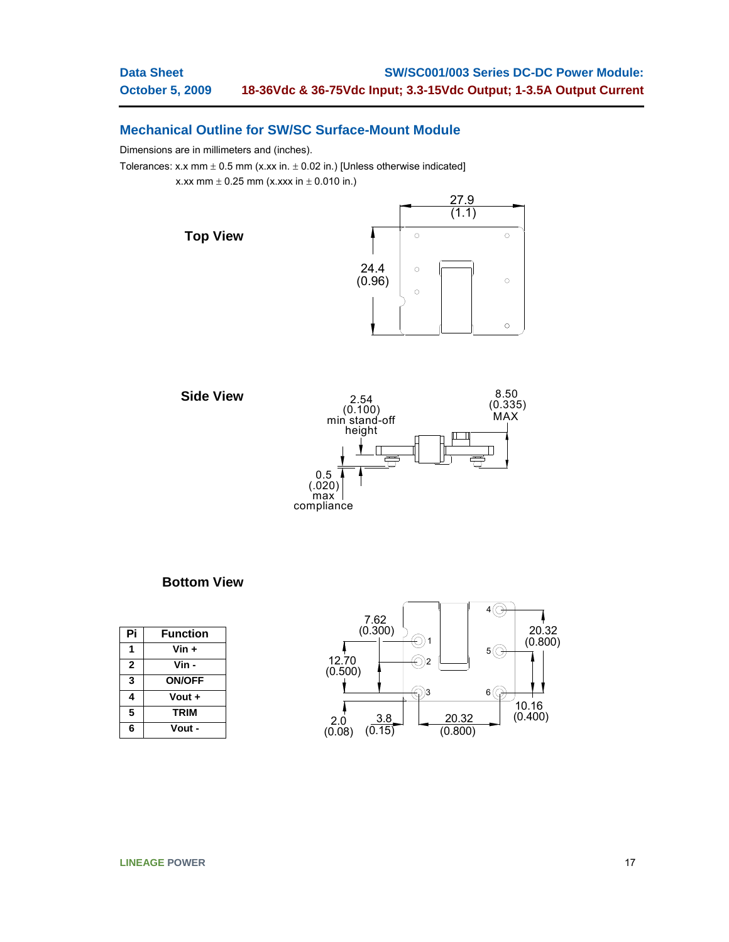## **Mechanical Outline for SW/SC Surface-Mount Module**

Dimensions are in millimeters and (inches).

Tolerances: x.x mm  $\pm$  0.5 mm (x.xx in.  $\pm$  0.02 in.) [Unless otherwise indicated]

x.xx mm  $\pm$  0.25 mm (x.xxx in  $\pm$  0.010 in.)

![](_page_16_Figure_5.jpeg)

![](_page_16_Figure_6.jpeg)

## **Bottom View**

| Pi           | <b>Function</b> |
|--------------|-----------------|
|              | $V$ in +        |
| $\mathbf{2}$ | Vin -           |
| 3            | <b>ON/OFF</b>   |
| 4            | Vout +          |
| 5            | <b>TRIM</b>     |
| 6            | Vout -          |

![](_page_16_Figure_9.jpeg)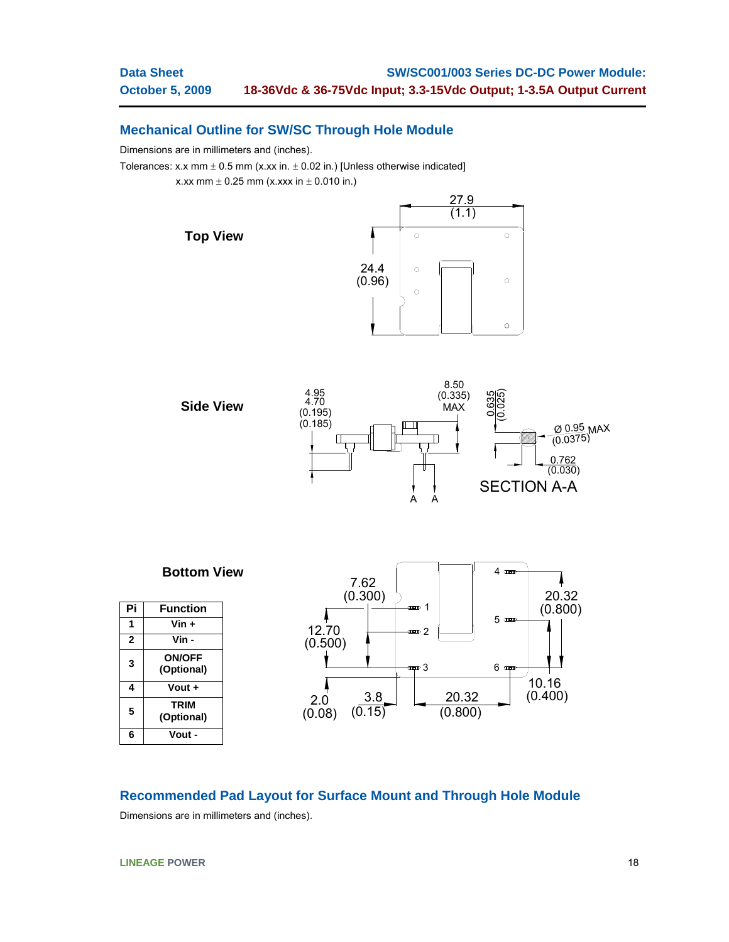$\circ$ 

 $\circ$ 

 $\circ$ 

## **Mechanical Outline for SW/SC Through Hole Module**

Dimensions are in millimeters and (inches).

Tolerances: x.x mm  $\pm$  0.5 mm (x.xx in.  $\pm$  0.02 in.) [Unless otherwise indicated]

x.xx mm  $\pm$  0.25 mm (x.xxx in  $\pm$  0.010 in.)

![](_page_17_Figure_5.jpeg)

![](_page_17_Figure_6.jpeg)

![](_page_17_Figure_7.jpeg)

## **Recommended Pad Layout for Surface Mount and Through Hole Module**

Dimensions are in millimeters and (inches).

**LINEAGE POWER** 18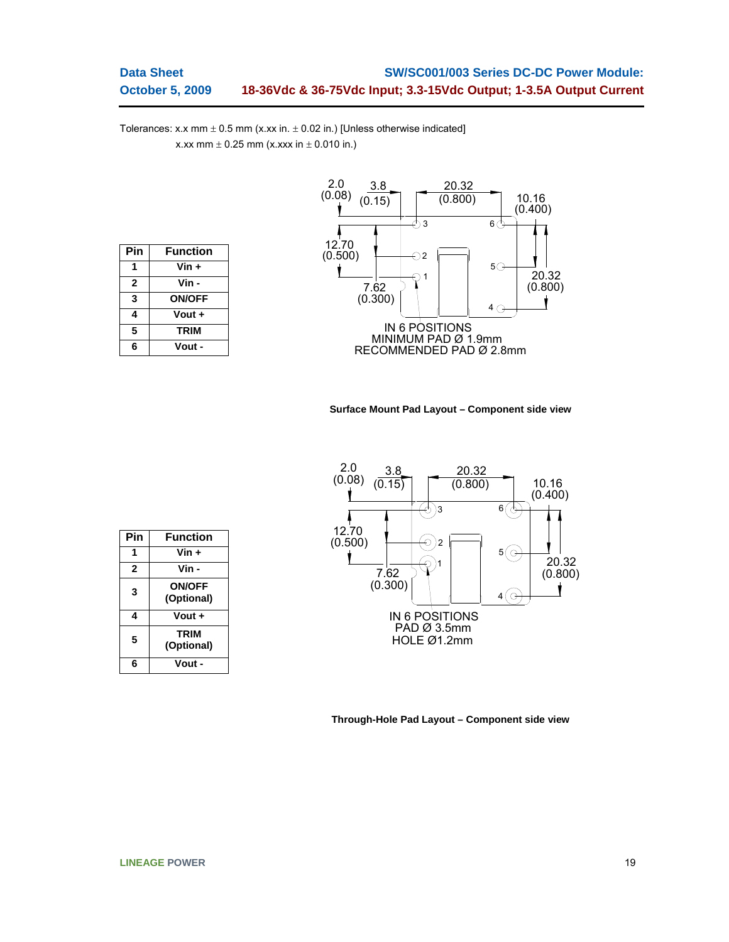Tolerances: x.x mm  $\pm$  0.5 mm (x.xx in.  $\pm$  0.02 in.) [Unless otherwise indicated] x.xx mm  $\pm$  0.25 mm (x.xxx in  $\pm$  0.010 in.)

| <b>Function</b> |
|-----------------|
| Vin +           |
| Vin -           |
| <b>ON/OFF</b>   |
| Vout +          |
| <b>TRIM</b>     |
| Vout -          |
|                 |

![](_page_18_Figure_3.jpeg)

### **Surface Mount Pad Layout – Component side view**

![](_page_18_Figure_5.jpeg)

| Pin | <b>Function</b>             |
|-----|-----------------------------|
|     | Vin +                       |
| 2   | Vin -                       |
| 3   | <b>ON/OFF</b><br>(Optional) |
| 4   | Vout +                      |
| 5   | <b>TRIM</b><br>(Optional)   |
| հ   | Vout -                      |

**Through-Hole Pad Layout – Component side view**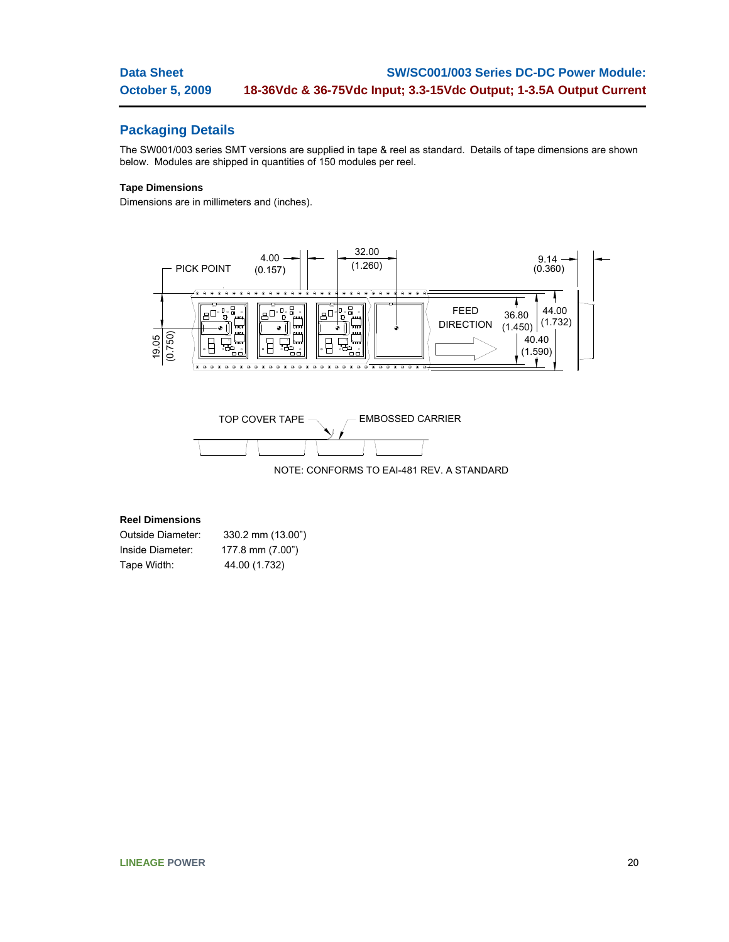## **Packaging Details**

The SW001/003 series SMT versions are supplied in tape & reel as standard. Details of tape dimensions are shown below. Modules are shipped in quantities of 150 modules per reel.

## **Tape Dimensions**

Dimensions are in millimeters and (inches).

![](_page_19_Figure_5.jpeg)

![](_page_19_Figure_6.jpeg)

## **Reel Dimensions**

| Outside Diameter: | 330.2 mm (13.00") |
|-------------------|-------------------|
| Inside Diameter:  | 177.8 mm (7.00")  |
| Tape Width:       | 44.00 (1.732)     |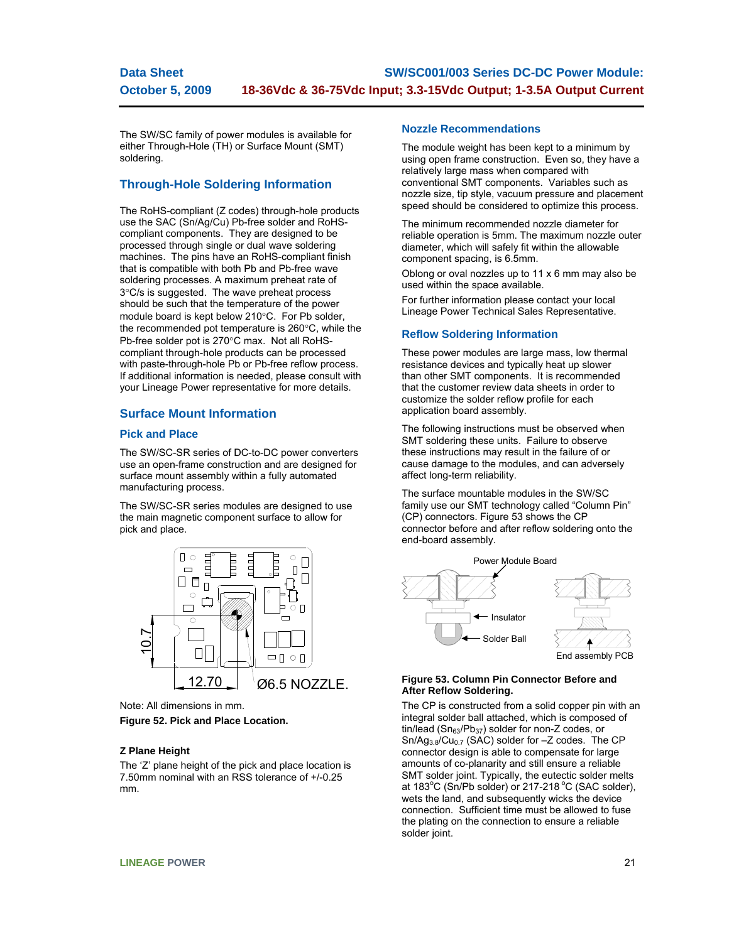#### **Data Sheet October 5, 2009 SW/SC001/003 Series DC-DC Power Module: 18-36Vdc & 36-75Vdc Input; 3.3-15Vdc Output; 1-3.5A Output Current**

The SW/SC family of power modules is available for either Through-Hole (TH) or Surface Mount (SMT) soldering.

## **Through-Hole Soldering Information**

The RoHS-compliant (Z codes) through-hole products use the SAC (Sn/Ag/Cu) Pb-free solder and RoHScompliant components. They are designed to be processed through single or dual wave soldering machines. The pins have an RoHS-compliant finish that is compatible with both Pb and Pb-free wave soldering processes. A maximum preheat rate of 3°C/s is suggested. The wave preheat process should be such that the temperature of the power module board is kept below 210°C. For Pb solder, the recommended pot temperature is 260°C, while the Pb-free solder pot is 270°C max. Not all RoHScompliant through-hole products can be processed with paste-through-hole Pb or Pb-free reflow process. If additional information is needed, please consult with your Lineage Power representative for more details.

## **Surface Mount Information**

## **Pick and Place**

The SW/SC-SR series of DC-to-DC power converters use an open-frame construction and are designed for surface mount assembly within a fully automated manufacturing process.

The SW/SC-SR series modules are designed to use the main magnetic component surface to allow for pick and place.

![](_page_20_Figure_8.jpeg)

Note: All dimensions in mm.

### **Figure 52. Pick and Place Location.**

### **Z Plane Height**

The 'Z' plane height of the pick and place location is 7.50mm nominal with an RSS tolerance of +/-0.25 mm.

### **Nozzle Recommendations**

The module weight has been kept to a minimum by using open frame construction. Even so, they have a relatively large mass when compared with conventional SMT components. Variables such as nozzle size, tip style, vacuum pressure and placement speed should be considered to optimize this process.

The minimum recommended nozzle diameter for reliable operation is 5mm. The maximum nozzle outer diameter, which will safely fit within the allowable component spacing, is 6.5mm.

Oblong or oval nozzles up to 11 x 6 mm may also be used within the space available.

For further information please contact your local Lineage Power Technical Sales Representative.

## **Reflow Soldering Information**

These power modules are large mass, low thermal resistance devices and typically heat up slower than other SMT components. It is recommended that the customer review data sheets in order to customize the solder reflow profile for each application board assembly.

The following instructions must be observed when SMT soldering these units. Failure to observe these instructions may result in the failure of or cause damage to the modules, and can adversely affect long-term reliability.

The surface mountable modules in the SW/SC family use our SMT technology called "Column Pin" (CP) connectors. Figure 53 shows the CP connector before and after reflow soldering onto the end-board assembly.

![](_page_20_Figure_22.jpeg)

### **Figure 53. Column Pin Connector Before and After Reflow Soldering.**

The CP is constructed from a solid copper pin with an integral solder ball attached, which is composed of tin/lead ( $Sn<sub>63</sub>/Pb<sub>37</sub>$ ) solder for non-Z codes, or  $Sn/Ag_{3.8}/Cu_{0.7}$  (SAC) solder for  $-Z$  codes. The CP connector design is able to compensate for large amounts of co-planarity and still ensure a reliable SMT solder joint. Typically, the eutectic solder melts at 183 $\mathrm{^{\circ}C}$  (Sn/Pb solder) or 217-218 $\mathrm{^{\circ}C}$  (SAC solder), wets the land, and subsequently wicks the device connection. Sufficient time must be allowed to fuse the plating on the connection to ensure a reliable solder joint.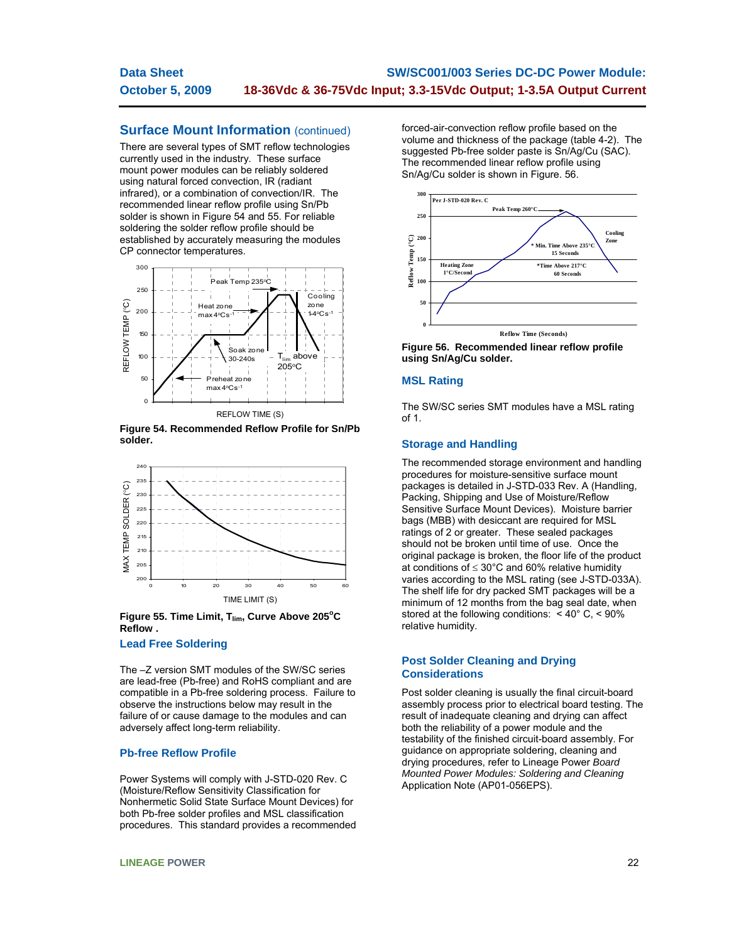#### **Data Sheet October 5, 2009 SW/SC001/003 Series DC-DC Power Module: 18-36Vdc & 36-75Vdc Input; 3.3-15Vdc Output; 1-3.5A Output Current**

## **Surface Mount Information (continued)**

There are several types of SMT reflow technologies currently used in the industry. These surface mount power modules can be reliably soldered using natural forced convection, IR (radiant infrared), or a combination of convection/IR. The recommended linear reflow profile using Sn/Pb solder is shown in Figure 54 and 55. For reliable soldering the solder reflow profile should be established by accurately measuring the modules CP connector temperatures.

![](_page_21_Figure_3.jpeg)

**Figure 54. Recommended Reflow Profile for Sn/Pb solder.** 

![](_page_21_Figure_5.jpeg)

Figure 55. Time Limit, T<sub>lim</sub>, Curve Above 205°C **Reflow .** 

### **Lead Free Soldering**

The –Z version SMT modules of the SW/SC series are lead-free (Pb-free) and RoHS compliant and are compatible in a Pb-free soldering process. Failure to observe the instructions below may result in the failure of or cause damage to the modules and can adversely affect long-term reliability.

## **Pb-free Reflow Profile**

Power Systems will comply with J-STD-020 Rev. C (Moisture/Reflow Sensitivity Classification for Nonhermetic Solid State Surface Mount Devices) for both Pb-free solder profiles and MSL classification procedures. This standard provides a recommended forced-air-convection reflow profile based on the volume and thickness of the package (table 4-2). The suggested Pb-free solder paste is Sn/Ag/Cu (SAC). The recommended linear reflow profile using Sn/Ag/Cu solder is shown in Figure. 56.

![](_page_21_Figure_12.jpeg)

**Figure 56. Recommended linear reflow profile using Sn/Ag/Cu solder.** 

## **MSL Rating**

The SW/SC series SMT modules have a MSL rating of 1.

## **Storage and Handling**

The recommended storage environment and handling procedures for moisture-sensitive surface mount packages is detailed in J-STD-033 Rev. A (Handling, Packing, Shipping and Use of Moisture/Reflow Sensitive Surface Mount Devices). Moisture barrier bags (MBB) with desiccant are required for MSL ratings of 2 or greater. These sealed packages should not be broken until time of use. Once the original package is broken, the floor life of the product at conditions of  $\leq 30^{\circ}$ C and 60% relative humidity varies according to the MSL rating (see J-STD-033A). The shelf life for dry packed SMT packages will be a minimum of 12 months from the bag seal date, when stored at the following conditions: < 40° C, < 90% relative humidity.

## **Post Solder Cleaning and Drying Considerations**

Post solder cleaning is usually the final circuit-board assembly process prior to electrical board testing. The result of inadequate cleaning and drying can affect both the reliability of a power module and the testability of the finished circuit-board assembly. For guidance on appropriate soldering, cleaning and drying procedures, refer to Lineage Power *Board Mounted Power Modules: Soldering and Cleaning* Application Note (AP01-056EPS).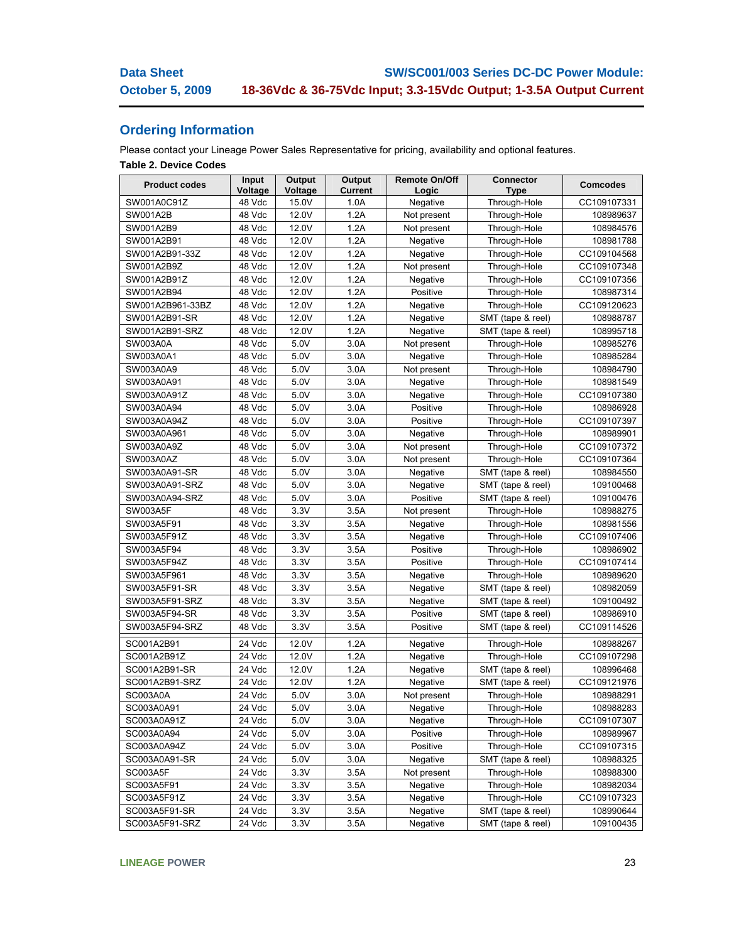## **Ordering Information**

Please contact your Lineage Power Sales Representative for pricing, availability and optional features.

## **Table 2. Device Codes**

| 15.0V<br>SW001A0C91Z<br>48 Vdc<br>1.0A<br>CC109107331<br>Negative<br>Through-Hole<br>SW001A2B<br>48 Vdc<br>12.0V<br>1.2A<br>Through-Hole<br>108989637<br>Not present<br>SW001A2B9<br>48 Vdc<br>12.0V<br>1.2A<br>Not present<br>Through-Hole<br>108984576<br>SW001A2B91<br>1.2A<br>Through-Hole<br>48 Vdc<br>12.0V<br>Negative<br>108981788<br>SW001A2B91-33Z<br>12.0V<br>1.2A<br>Through-Hole<br>CC109104568<br>48 Vdc<br>Negative<br>SW001A2B9Z<br>48 Vdc<br>12.0V<br>1.2A<br>CC109107348<br>Through-Hole<br>Not present<br>SW001A2B91Z<br>12.0V<br>1.2A<br>48 Vdc<br>Through-Hole<br>CC109107356<br>Negative<br>SW001A2B94<br>12.0V<br>1.2A<br>48 Vdc<br>Positive<br>Through-Hole<br>108987314<br>SW001A2B961-33BZ<br>48 Vdc<br>12.0V<br>1.2A<br>Negative<br>Through-Hole<br>CC109120623<br>SW001A2B91-SR<br>48 Vdc<br>12.0V<br>1.2A<br>SMT (tape & reel)<br>Negative<br>108988787<br>SW001A2B91-SRZ<br>12.0V<br>1.2A<br>SMT (tape & reel)<br>108995718<br>48 Vdc<br>Negative<br>SW003A0A<br>3.0A<br>48 Vdc<br>5.0V<br>Not present<br>Through-Hole<br>108985276 | <b>Product codes</b> | Input<br>Voltage | Output<br>Voltage | Output<br><b>Current</b> | <b>Remote On/Off</b> | <b>Connector</b> | <b>Comcodes</b> |
|-------------------------------------------------------------------------------------------------------------------------------------------------------------------------------------------------------------------------------------------------------------------------------------------------------------------------------------------------------------------------------------------------------------------------------------------------------------------------------------------------------------------------------------------------------------------------------------------------------------------------------------------------------------------------------------------------------------------------------------------------------------------------------------------------------------------------------------------------------------------------------------------------------------------------------------------------------------------------------------------------------------------------------------------------------------------|----------------------|------------------|-------------------|--------------------------|----------------------|------------------|-----------------|
|                                                                                                                                                                                                                                                                                                                                                                                                                                                                                                                                                                                                                                                                                                                                                                                                                                                                                                                                                                                                                                                                   |                      |                  |                   |                          | Logic                | <b>Type</b>      |                 |
|                                                                                                                                                                                                                                                                                                                                                                                                                                                                                                                                                                                                                                                                                                                                                                                                                                                                                                                                                                                                                                                                   |                      |                  |                   |                          |                      |                  |                 |
|                                                                                                                                                                                                                                                                                                                                                                                                                                                                                                                                                                                                                                                                                                                                                                                                                                                                                                                                                                                                                                                                   |                      |                  |                   |                          |                      |                  |                 |
|                                                                                                                                                                                                                                                                                                                                                                                                                                                                                                                                                                                                                                                                                                                                                                                                                                                                                                                                                                                                                                                                   |                      |                  |                   |                          |                      |                  |                 |
|                                                                                                                                                                                                                                                                                                                                                                                                                                                                                                                                                                                                                                                                                                                                                                                                                                                                                                                                                                                                                                                                   |                      |                  |                   |                          |                      |                  |                 |
|                                                                                                                                                                                                                                                                                                                                                                                                                                                                                                                                                                                                                                                                                                                                                                                                                                                                                                                                                                                                                                                                   |                      |                  |                   |                          |                      |                  |                 |
|                                                                                                                                                                                                                                                                                                                                                                                                                                                                                                                                                                                                                                                                                                                                                                                                                                                                                                                                                                                                                                                                   |                      |                  |                   |                          |                      |                  |                 |
|                                                                                                                                                                                                                                                                                                                                                                                                                                                                                                                                                                                                                                                                                                                                                                                                                                                                                                                                                                                                                                                                   |                      |                  |                   |                          |                      |                  |                 |
|                                                                                                                                                                                                                                                                                                                                                                                                                                                                                                                                                                                                                                                                                                                                                                                                                                                                                                                                                                                                                                                                   |                      |                  |                   |                          |                      |                  |                 |
|                                                                                                                                                                                                                                                                                                                                                                                                                                                                                                                                                                                                                                                                                                                                                                                                                                                                                                                                                                                                                                                                   |                      |                  |                   |                          |                      |                  |                 |
|                                                                                                                                                                                                                                                                                                                                                                                                                                                                                                                                                                                                                                                                                                                                                                                                                                                                                                                                                                                                                                                                   |                      |                  |                   |                          |                      |                  |                 |
|                                                                                                                                                                                                                                                                                                                                                                                                                                                                                                                                                                                                                                                                                                                                                                                                                                                                                                                                                                                                                                                                   |                      |                  |                   |                          |                      |                  |                 |
|                                                                                                                                                                                                                                                                                                                                                                                                                                                                                                                                                                                                                                                                                                                                                                                                                                                                                                                                                                                                                                                                   |                      |                  |                   |                          |                      |                  |                 |
| SW003A0A1<br>5.0V<br>3.0A<br>48 Vdc<br>Negative<br>Through-Hole                                                                                                                                                                                                                                                                                                                                                                                                                                                                                                                                                                                                                                                                                                                                                                                                                                                                                                                                                                                                   |                      |                  |                   |                          |                      |                  | 108985284       |
| SW003A0A9<br>48 Vdc<br>5.0V<br>3.0A<br>Not present<br>Through-Hole                                                                                                                                                                                                                                                                                                                                                                                                                                                                                                                                                                                                                                                                                                                                                                                                                                                                                                                                                                                                |                      |                  |                   |                          |                      |                  | 108984790       |
| SW003A0A91<br>48 Vdc<br>5.0V<br>3.0A<br>Negative<br>Through-Hole                                                                                                                                                                                                                                                                                                                                                                                                                                                                                                                                                                                                                                                                                                                                                                                                                                                                                                                                                                                                  |                      |                  |                   |                          |                      |                  | 108981549       |
| SW003A0A91Z<br>5.0V<br>3.0A<br>48 Vdc<br>Negative<br>Through-Hole                                                                                                                                                                                                                                                                                                                                                                                                                                                                                                                                                                                                                                                                                                                                                                                                                                                                                                                                                                                                 |                      |                  |                   |                          |                      |                  | CC109107380     |
| 5.0V<br>SW003A0A94<br>48 Vdc<br>3.0A<br>Positive<br>Through-Hole                                                                                                                                                                                                                                                                                                                                                                                                                                                                                                                                                                                                                                                                                                                                                                                                                                                                                                                                                                                                  |                      |                  |                   |                          |                      |                  | 108986928       |
| SW003A0A94Z<br>48 Vdc<br>5.0V<br>3.0A<br>Positive<br>Through-Hole                                                                                                                                                                                                                                                                                                                                                                                                                                                                                                                                                                                                                                                                                                                                                                                                                                                                                                                                                                                                 |                      |                  |                   |                          |                      |                  | CC109107397     |
| SW003A0A961<br>48 Vdc<br>5.0V<br>3.0A<br>Negative<br>Through-Hole                                                                                                                                                                                                                                                                                                                                                                                                                                                                                                                                                                                                                                                                                                                                                                                                                                                                                                                                                                                                 |                      |                  |                   |                          |                      |                  | 108989901       |
| SW003A0A9Z<br>5.0V<br>3.0A<br>48 Vdc<br>Not present<br>Through-Hole                                                                                                                                                                                                                                                                                                                                                                                                                                                                                                                                                                                                                                                                                                                                                                                                                                                                                                                                                                                               |                      |                  |                   |                          |                      |                  | CC109107372     |
| SW003A0AZ<br>Through-Hole<br>48 Vdc<br>5.0V<br>3.0A<br>Not present                                                                                                                                                                                                                                                                                                                                                                                                                                                                                                                                                                                                                                                                                                                                                                                                                                                                                                                                                                                                |                      |                  |                   |                          |                      |                  | CC109107364     |
| SW003A0A91-SR<br>48 Vdc<br>5.0V<br>3.0A<br>SMT (tape & reel)<br>Negative                                                                                                                                                                                                                                                                                                                                                                                                                                                                                                                                                                                                                                                                                                                                                                                                                                                                                                                                                                                          |                      |                  |                   |                          |                      |                  | 108984550       |
| SW003A0A91-SRZ<br>48 Vdc<br>5.0V<br>3.0A<br>SMT (tape & reel)<br>Negative                                                                                                                                                                                                                                                                                                                                                                                                                                                                                                                                                                                                                                                                                                                                                                                                                                                                                                                                                                                         |                      |                  |                   |                          |                      |                  | 109100468       |
| SW003A0A94-SRZ<br>48 Vdc<br>5.0V<br>3.0A<br>Positive<br>SMT (tape & reel)                                                                                                                                                                                                                                                                                                                                                                                                                                                                                                                                                                                                                                                                                                                                                                                                                                                                                                                                                                                         |                      |                  |                   |                          |                      |                  | 109100476       |
| SW003A5F<br>3.3V<br>3.5A<br>Through-Hole<br>48 Vdc<br>Not present                                                                                                                                                                                                                                                                                                                                                                                                                                                                                                                                                                                                                                                                                                                                                                                                                                                                                                                                                                                                 |                      |                  |                   |                          |                      |                  | 108988275       |
| SW003A5F91<br>3.3V<br>3.5A<br>Through-Hole<br>48 Vdc<br>Negative                                                                                                                                                                                                                                                                                                                                                                                                                                                                                                                                                                                                                                                                                                                                                                                                                                                                                                                                                                                                  |                      |                  |                   |                          |                      |                  | 108981556       |
| 3.5A<br>SW003A5F91Z<br>48 Vdc<br>3.3V<br>Through-Hole<br>Negative                                                                                                                                                                                                                                                                                                                                                                                                                                                                                                                                                                                                                                                                                                                                                                                                                                                                                                                                                                                                 |                      |                  |                   |                          |                      |                  | CC109107406     |
| SW003A5F94<br>48 Vdc<br>3.3V<br>3.5A<br>Positive<br>Through-Hole                                                                                                                                                                                                                                                                                                                                                                                                                                                                                                                                                                                                                                                                                                                                                                                                                                                                                                                                                                                                  |                      |                  |                   |                          |                      |                  | 108986902       |
| SW003A5F94Z<br>3.3V<br>3.5A<br>48 Vdc<br>Positive<br>Through-Hole                                                                                                                                                                                                                                                                                                                                                                                                                                                                                                                                                                                                                                                                                                                                                                                                                                                                                                                                                                                                 |                      |                  |                   |                          |                      |                  | CC109107414     |
| 3.3V<br>3.5A<br>SW003A5F961<br>48 Vdc<br>Through-Hole<br>Negative                                                                                                                                                                                                                                                                                                                                                                                                                                                                                                                                                                                                                                                                                                                                                                                                                                                                                                                                                                                                 |                      |                  |                   |                          |                      |                  | 108989620       |
| SW003A5F91-SR<br>3.3V<br>3.5A<br>48 Vdc<br>Negative<br>SMT (tape & reel)                                                                                                                                                                                                                                                                                                                                                                                                                                                                                                                                                                                                                                                                                                                                                                                                                                                                                                                                                                                          |                      |                  |                   |                          |                      |                  | 108982059       |
| SW003A5F91-SRZ<br>48 Vdc<br>3.3V<br>3.5A<br>Negative<br>SMT (tape & reel)                                                                                                                                                                                                                                                                                                                                                                                                                                                                                                                                                                                                                                                                                                                                                                                                                                                                                                                                                                                         |                      |                  |                   |                          |                      |                  | 109100492       |
| SW003A5F94-SR<br>48 Vdc<br>3.3V<br>3.5A<br>Positive<br>SMT (tape & reel)                                                                                                                                                                                                                                                                                                                                                                                                                                                                                                                                                                                                                                                                                                                                                                                                                                                                                                                                                                                          |                      |                  |                   |                          |                      |                  | 108986910       |
| SW003A5F94-SRZ<br>3.3V<br>3.5A<br>48 Vdc<br>Positive<br>SMT (tape & reel)                                                                                                                                                                                                                                                                                                                                                                                                                                                                                                                                                                                                                                                                                                                                                                                                                                                                                                                                                                                         |                      |                  |                   |                          |                      |                  | CC109114526     |
| SC001A2B91<br>24 Vdc<br>12.0V<br>1.2A<br>Through-Hole<br>Negative                                                                                                                                                                                                                                                                                                                                                                                                                                                                                                                                                                                                                                                                                                                                                                                                                                                                                                                                                                                                 |                      |                  |                   |                          |                      |                  | 108988267       |
| 1.2A<br>SC001A2B91Z<br>24 Vdc<br>12.0V<br>Through-Hole<br>Negative                                                                                                                                                                                                                                                                                                                                                                                                                                                                                                                                                                                                                                                                                                                                                                                                                                                                                                                                                                                                |                      |                  |                   |                          |                      |                  | CC109107298     |
| SC001A2B91-SR<br>1.2A<br>SMT (tape & reel)<br>24 Vdc<br>12.0V<br>Negative                                                                                                                                                                                                                                                                                                                                                                                                                                                                                                                                                                                                                                                                                                                                                                                                                                                                                                                                                                                         |                      |                  |                   |                          |                      |                  | 108996468       |
| SC001A2B91-SRZ<br>24 Vdc<br>12.0V<br>1.2A<br>SMT (tape & reel)<br>Negative                                                                                                                                                                                                                                                                                                                                                                                                                                                                                                                                                                                                                                                                                                                                                                                                                                                                                                                                                                                        |                      |                  |                   |                          |                      |                  | CC109121976     |
| <b>SC003A0A</b><br>24 Vdc<br>Through-Hole<br>5.0V<br>3.0A<br>Not present                                                                                                                                                                                                                                                                                                                                                                                                                                                                                                                                                                                                                                                                                                                                                                                                                                                                                                                                                                                          |                      |                  |                   |                          |                      |                  | 108988291       |
| 5.0V<br>3.0A<br>SC003A0A91<br>24 Vdc<br>Through-Hole<br>Negative                                                                                                                                                                                                                                                                                                                                                                                                                                                                                                                                                                                                                                                                                                                                                                                                                                                                                                                                                                                                  |                      |                  |                   |                          |                      |                  | 108988283       |
| SC003A0A91Z<br>24 Vdc<br>5.0V<br>3.0A<br>Negative<br>Through-Hole                                                                                                                                                                                                                                                                                                                                                                                                                                                                                                                                                                                                                                                                                                                                                                                                                                                                                                                                                                                                 |                      |                  |                   |                          |                      |                  | CC109107307     |
| SC003A0A94<br>24 Vdc<br>5.0V<br>3.0A<br>Positive<br>Through-Hole                                                                                                                                                                                                                                                                                                                                                                                                                                                                                                                                                                                                                                                                                                                                                                                                                                                                                                                                                                                                  |                      |                  |                   |                          |                      |                  | 108989967       |
| SC003A0A94Z<br>24 Vdc<br>5.0V<br>3.0A<br>Through-Hole<br>Positive                                                                                                                                                                                                                                                                                                                                                                                                                                                                                                                                                                                                                                                                                                                                                                                                                                                                                                                                                                                                 |                      |                  |                   |                          |                      |                  | CC109107315     |
| SC003A0A91-SR<br>24 Vdc<br>5.0V<br>3.0A<br>Negative<br>SMT (tape & reel)                                                                                                                                                                                                                                                                                                                                                                                                                                                                                                                                                                                                                                                                                                                                                                                                                                                                                                                                                                                          |                      |                  |                   |                          |                      |                  | 108988325       |
| <b>SC003A5F</b><br>24 Vdc<br>3.3V<br>3.5A<br>Not present<br>Through-Hole                                                                                                                                                                                                                                                                                                                                                                                                                                                                                                                                                                                                                                                                                                                                                                                                                                                                                                                                                                                          |                      |                  |                   |                          |                      |                  | 108988300       |
| SC003A5F91<br>Through-Hole<br>24 Vdc<br>3.3V<br>3.5A<br>Negative                                                                                                                                                                                                                                                                                                                                                                                                                                                                                                                                                                                                                                                                                                                                                                                                                                                                                                                                                                                                  |                      |                  |                   |                          |                      |                  | 108982034       |
| SC003A5F91Z<br>24 Vdc<br>3.3V<br>3.5A<br>Negative<br>Through-Hole                                                                                                                                                                                                                                                                                                                                                                                                                                                                                                                                                                                                                                                                                                                                                                                                                                                                                                                                                                                                 |                      |                  |                   |                          |                      |                  | CC109107323     |
| SC003A5F91-SR<br>24 Vdc<br>3.3V<br>3.5A<br>Negative<br>SMT (tape & reel)                                                                                                                                                                                                                                                                                                                                                                                                                                                                                                                                                                                                                                                                                                                                                                                                                                                                                                                                                                                          |                      |                  |                   |                          |                      |                  | 108990644       |
| SC003A5F91-SRZ<br>24 Vdc<br>3.3V<br>3.5A<br>SMT (tape & reel)<br>Negative                                                                                                                                                                                                                                                                                                                                                                                                                                                                                                                                                                                                                                                                                                                                                                                                                                                                                                                                                                                         |                      |                  |                   |                          |                      |                  | 109100435       |